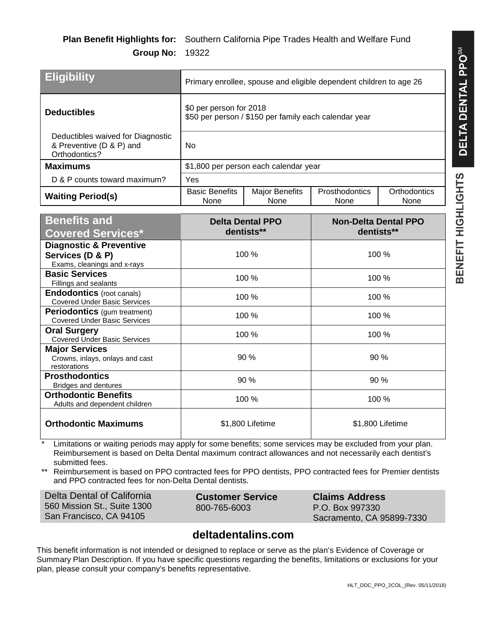| <b>Eligibility</b>                                                             | Primary enrollee, spouse and eligible dependent children to age 26               |                               |                        |                      |
|--------------------------------------------------------------------------------|----------------------------------------------------------------------------------|-------------------------------|------------------------|----------------------|
| <b>Deductibles</b>                                                             | \$0 per person for 2018<br>\$50 per person / \$150 per family each calendar year |                               |                        |                      |
| Deductibles waived for Diagnostic<br>& Preventive (D & P) and<br>Orthodontics? | No.                                                                              |                               |                        |                      |
| <b>Maximums</b>                                                                | \$1,800 per person each calendar year                                            |                               |                        |                      |
| D & P counts toward maximum?                                                   | Yes                                                                              |                               |                        |                      |
| <b>Waiting Period(s)</b>                                                       | <b>Basic Benefits</b><br>None                                                    | <b>Major Benefits</b><br>None | Prosthodontics<br>None | Orthodontics<br>None |

| <b>Benefits and</b><br><b>Covered Services*</b>                                       | <b>Delta Dental PPO</b><br>dentists** | <b>Non-Delta Dental PPO</b><br>dentists** |
|---------------------------------------------------------------------------------------|---------------------------------------|-------------------------------------------|
| <b>Diagnostic &amp; Preventive</b><br>Services (D & P)<br>Exams, cleanings and x-rays | 100 %                                 | 100 %                                     |
| <b>Basic Services</b><br>Fillings and sealants                                        | 100 %                                 | 100 %                                     |
| <b>Endodontics</b> (root canals)<br><b>Covered Under Basic Services</b>               | 100 %                                 | 100 %                                     |
| <b>Periodontics</b> (gum treatment)<br><b>Covered Under Basic Services</b>            | 100 %                                 | 100 %                                     |
| <b>Oral Surgery</b><br><b>Covered Under Basic Services</b>                            | 100 %                                 | 100 %                                     |
| <b>Major Services</b><br>Crowns, inlays, onlays and cast<br>restorations              | 90%                                   | $90\%$                                    |
| <b>Prosthodontics</b><br><b>Bridges and dentures</b>                                  | 90 %                                  | 90 %                                      |
| <b>Orthodontic Benefits</b><br>Adults and dependent children                          | 100 %                                 | 100 %                                     |
| <b>Orthodontic Maximums</b>                                                           | \$1,800 Lifetime                      | \$1,800 Lifetime                          |

Limitations or waiting periods may apply for some benefits; some services may be excluded from your plan. Reimbursement is based on Delta Dental maximum contract allowances and not necessarily each dentist's submitted fees.

\*\* Reimbursement is based on PPO contracted fees for PPO dentists, PPO contracted fees for Premier dentists and PPO contracted fees for non-Delta Dental dentists.

| Delta Dental of California  | <b>Customer Service</b> | <b>Claims Address</b>     |
|-----------------------------|-------------------------|---------------------------|
| 560 Mission St., Suite 1300 | 800-765-6003            | P.O. Box 997330           |
| San Francisco, CA 94105     |                         | Sacramento, CA 95899-7330 |

# **deltadentalins.com**

This benefit information is not intended or designed to replace or serve as the plan's Evidence of Coverage or Summary Plan Description. If you have specific questions regarding the benefits, limitations or exclusions for your plan, please consult your company's benefits representative.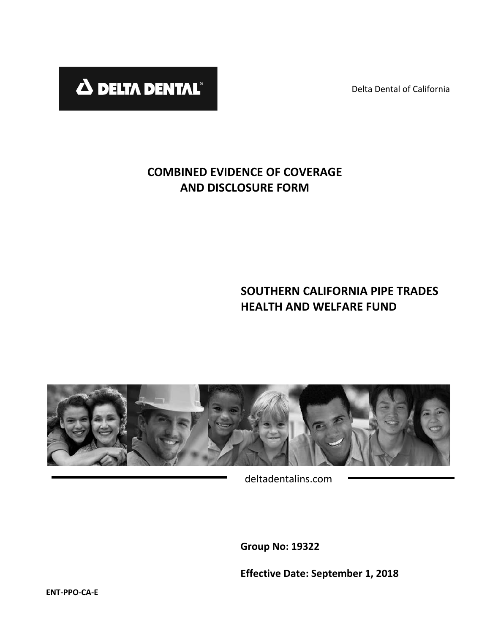Delta Dental of California



# **COMBINED EVIDENCE OF COVERAGE AND DISCLOSURE FORM**

# **SOUTHERN CALIFORNIA PIPE TRADES HEALTH AND WELFARE FUND**



deltadentalins.com

**Group No: 19322**

**Effective Date: September 1, 2018**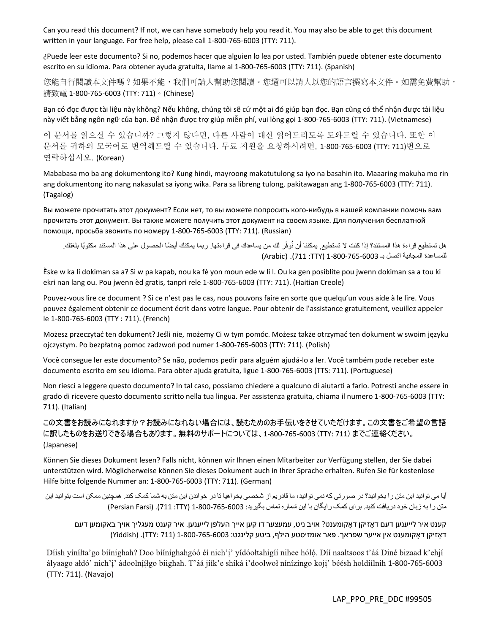Can you read this document? If not, we can have somebody help you read it. You may also be able to get this document written in your language. For free help, please call 1-800-765-6003 (TTY: 711).

¿Puede leer este documento? Si no, podemos hacer que alguien lo lea por usted. También puede obtener este documento escrito en su idioma. Para obtener ayuda gratuita, llame al 1-800-765-6003 (TTY: 711). (Spanish)

您能自行閱讀本文件嗎?如果不能,我們可請人幫助您閱讀。您還可以請人以您的語言撰寫本文件。如需免費幫助, 請致電 1-800-765-6003 (TTY: 711)。(Chinese)

Bạn có đọc được tài liệu này không? Nếu không, chúng tôi sẽ cử một ai đó giúp bạn đọc. Bạn cũng có thể nhận được tài liệu này viết bằng ngôn ngữ của bạn. Để nhận được trợ giúp miễn phí, vui lòng gọi 1-800-765-6003 (TTY: 711). (Vietnamese)

이 문서를 읽으실 수 있습니까? 그렇지 않다면, 다른 사람이 대신 읽어드리도록 도와드릴 수 있습니다. 또한 이 문서를 귀하의 모국어로 번역해드릴 수 있습니다. 무료 지원을 요청하시려면, 1-800-765-6003 (TTY: 711)번으로 연락하십시오. (Korean)

Mababasa mo ba ang dokumentong ito? Kung hindi, mayroong makatutulong sa iyo na basahin ito. Maaaring makuha mo rin ang dokumentong ito nang nakasulat sa iyong wika. Para sa libreng tulong, pakitawagan ang 1-800-765-6003 (TTY: 711). (Tagalog)

Вы можете прочитать этот документ? Если нет, то вы можете попросить кого-нибудь в нашей компании помочь вам прочитать этот документ. Вы также можете получить этот документ на своем языке. Для получения бесплатной помощи, просьба звонить по номеру 1-800-765-6003 (TTY: 711). (Russian)

هل تستطيع قراءة هذا المستند؟ إذا كنت لا تستطيع, يمكننا أن نُوفّر لك من يساعدك في قراءتها. ربما يمكنك أيضًا الحصول على هذا المستند مكتوبًا بلغتك. للمساعدة المجانية اتصل بــ 8003-765-6009 (TTY) (Arabic). (Arabic)

Èske w ka li dokiman sa a? Si w pa kapab, nou ka fè yon moun ede w li l. Ou ka gen posiblite pou jwenn dokiman sa a tou ki ekri nan lang ou. Pou jwenn èd gratis, tanpri rele 1-800-765-6003 (TTY: 711). (Haitian Creole)

Pouvez-vous lire ce document ? Si ce n'est pas le cas, nous pouvons faire en sorte que quelqu'un vous aide à le lire. Vous pouvez également obtenir ce document écrit dans votre langue. Pour obtenir de l'assistance gratuitement, veuillez appeler le 1-800-765-6003 (TTY : 711). (French)

Możesz przeczytać ten dokument? Jeśli nie, możemy Ci w tym pomóc. Możesz także otrzymać ten dokument w swoim języku ojczystym. Po bezpłatną pomoc zadzwoń pod numer 1-800-765-6003 (TTY: 711). (Polish)

Você consegue ler este documento? Se não, podemos pedir para alguém ajudá-lo a ler. Você também pode receber este documento escrito em seu idioma. Para obter ajuda gratuita, ligue 1-800-765-6003 (TTS: 711). (Portuguese)

Non riesci a leggere questo documento? In tal caso, possiamo chiedere a qualcuno di aiutarti a farlo. Potresti anche essere in grado di ricevere questo documento scritto nella tua lingua. Per assistenza gratuita, chiama il numero 1-800-765-6003 (TTY: 711). (Italian)

この文書をお読みになれますか?お読みになれない場合には、読むためのお手伝いをさせていただけます。この文書をご希望の言語 に訳したものをお送りできる場合もあります。無料のサポートについては、1-800-765-6003 (TTY: 711) までご連絡ください。 (Japanese)

Können Sie dieses Dokument lesen? Falls nicht, können wir Ihnen einen Mitarbeiter zur Verfügung stellen, der Sie dabei unterstützen wird. Möglicherweise können Sie dieses Dokument auch in Ihrer Sprache erhalten. Rufen Sie für kostenlose Hilfe bitte folgende Nummer an: 1-800-765-6003 (TTY: 711). (German)

آيا می توانيد اين متن را بخوانيد؟ در صورتی که نمی توانيد، ما قادريم از شخصی بخواهيا تا در خواندن اين متن به شما کمک کند. همچنين ممکن است بتوانيد اين متن را به زبان خود دريافت کنيد. براي کمک رايگان با اين شماره تماس بگيريد: 8003-765-8003 (711: 711). (Persian Farsi)

קענט איר לײענען דעם דָאזיקן דָאקומענט ? אױב ניט , עמעצער דו קען אײך העלפן לײענען. איר קענט מעגליך אױך באקומען דעם דָאזיקן דָאקומענט אין אײער שּפראך . פאר אומזיסטע הילף , ביטע קלינגט׃ 800-765-6003 -1 (711 :TTY ) (. Yiddish(

Díish vínílta'go biíníghah? Doo biíníghahgóó éi nich'i' vídóoltahígií nihee hóló. Díi naaltsoos t'áá Diné bizaad k'ehjí ályaago ałdó' nich'i' ádoolníiłgo biighah. T'áá jiik'e shiká i'doolwoł ninizingo koji' béésh holdiilnih 1-800-765-6003 (TTY: 711). (Navajo)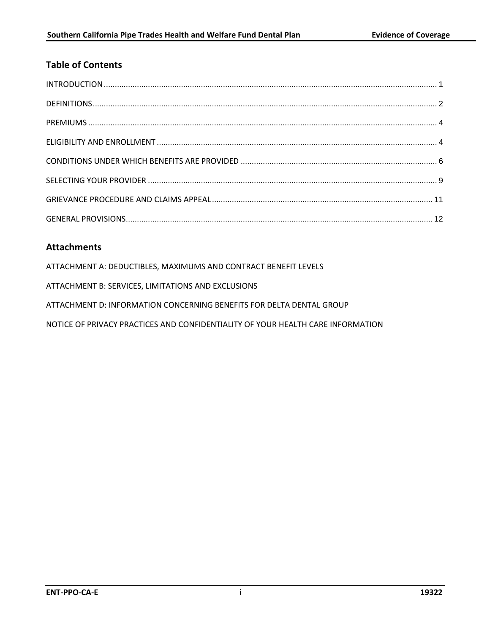# **Table of Contents**

# **Attachments**

ATTACHMENT A: DEDUCTIBLES, MAXIMUMS AND CONTRACT BENEFIT LEVELS ATTACHMENT B: SERVICES, LIMITATIONS AND EXCLUSIONS ATTACHMENT D: INFORMATION CONCERNING BENEFITS FOR DELTA DENTAL GROUP NOTICE OF PRIVACY PRACTICES AND CONFIDENTIALITY OF YOUR HEALTH CARE INFORMATION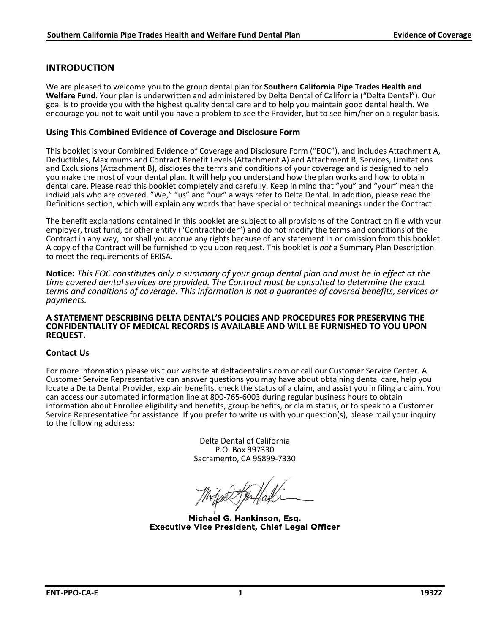# **INTRODUCTION**

We are pleased to welcome you to the group dental plan for **Southern California Pipe Trades Health and Welfare Fund**. Your plan is underwritten and administered by Delta Dental of California ("Delta Dental"). Our goal is to provide you with the highest quality dental care and to help you maintain good dental health. We encourage you not to wait until you have a problem to see the Provider, but to see him/her on a regular basis.

#### **Using This Combined Evidence of Coverage and Disclosure Form**

This booklet is your Combined Evidence of Coverage and Disclosure Form ("EOC"), and includes Attachment A, Deductibles, Maximums and Contract Benefit Levels (Attachment A) and Attachment B, Services, Limitations and Exclusions (Attachment B), discloses the terms and conditions of your coverage and is designed to help you make the most of your dental plan. It will help you understand how the plan works and how to obtain dental care. Please read this booklet completely and carefully. Keep in mind that "you" and "your" mean the individuals who are covered. "We," "us" and "our" always refer to Delta Dental. In addition, please read the Definitions section, which will explain any words that have special or technical meanings under the Contract.

The benefit explanations contained in this booklet are subject to all provisions of the Contract on file with your employer, trust fund, or other entity ("Contractholder") and do not modify the terms and conditions of the<br>Contract in any way, nor shall you accrue any rights because of any statement in or omission from this booklet. A copy of the Contract will be furnished to you upon request. This booklet is not a Summary Plan Description to meet the requirements of ERISA.

**Notice:** *This EOC constitutes only a summary of your group dental plan and must be in effect at the time covered dental services are provided. The Contract must be consulted to determine the exact terms and conditions of coverage. This information is not a guarantee of covered benefits, services or payments.*

#### **A STATEMENT DESCRIBING DELTA DENTAL'S POLICIES AND PROCEDURES FOR PRESERVING THE CONFIDENTIALITY OF MEDICAL RECORDS IS AVAILABLE AND WILL BE FURNISHED TO YOU UPON REQUEST.**

#### **Contact Us**

For more information please visit our website at deltadentalins.com or call our Customer Service Center. A Customer Service Representative can answer questions you may have about obtaining dental care, help you locate a Delta Dental Provider, explain benefits, check the status of a claim, and assist you in filing a claim. You can access our automated information line at 800-765-6003 during regular business hours to obtain information about Enrollee eligibility and benefits, group benefits, or claim status, or to speak to a Customer Service Representative for assistance. If you prefer to write us with your question(s), please mail your inquiry to the following address:

> Delta Dental of California P.O. Box 997330 Sacramento, CA 95899-7330

Michael G. Hankinson, Esq. Executive Vice President, Chief Legal Officer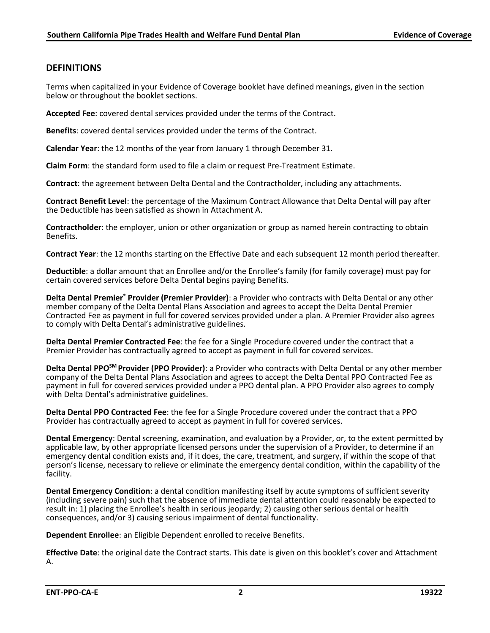# **DEFINITIONS**

Terms when capitalized in your Evidence of Coverage booklet have defined meanings, given in the section below or throughout the booklet sections.

**Accepted Fee**: covered dental services provided under the terms of the Contract.

**Benefits**: covered dental services provided under the terms of the Contract.

**Calendar Year**: the 12 months of the year from January 1 through December 31.

**Claim Form**: the standard form used to file a claim or request Pre-Treatment Estimate.

**Contract**: the agreement between Delta Dental and the Contractholder, including any attachments.

**Contract Benefit Level**: the percentage of the Maximum Contract Allowance that Delta Dental will pay after the Deductible has been satisfied as shown in Attachment A.

**Contractholder**: the employer, union or other organization or group as named herein contracting to obtain Benefits.

**Contract Year**: the 12 months starting on the Effective Date and each subsequent 12 month period thereafter.

**Deductible**: a dollar amount that an Enrollee and/or the Enrollee's family (for family coverage) must pay for certain covered services before Delta Dental begins paying Benefits.

**Delta Dental Premier® Provider (Premier Provider)**: a Provider who contracts with Delta Dental or any other member company of the Delta Dental Plans Association and agrees to accept the Delta Dental Premier Contracted Fee as payment in full for covered services provided under a plan. A Premier Provider also agrees to comply with Delta Dental's administrative guidelines.

**Delta Dental Premier Contracted Fee**: the fee for a Single Procedure covered under the contract that a Premier Provider has contractually agreed to accept as payment in full for covered services.

**Delta Dental PPOSM Provider (PPO Provider)**: a Provider who contracts with Delta Dental or any other member company of the Delta Dental Plans Association and agrees to accept the Delta Dental PPO Contracted Fee as payment in full for covered services provided under a PPO dental plan. A PPO Provider also agrees to comply with Delta Dental's administrative guidelines.

**Delta Dental PPO Contracted Fee**: the fee for a Single Procedure covered under the contract that a PPO Provider has contractually agreed to accept as payment in full for covered services.

**Dental Emergency**: Dental screening, examination, and evaluation by a Provider, or, to the extent permitted by applicable law, by other appropriate licensed persons under the supervision of a Provider, to determine if an emergency dental condition exists and, if it does, the care, treatment, and surgery, if within the scope of that person's license, necessary to relieve or eliminate the emergency dental condition, within the capability of the facility.

**Dental Emergency Condition**: a dental condition manifesting itself by acute symptoms of sufficient severity (including severe pain) such that the absence of immediate dental attention could reasonably be expected to result in: 1) placing the Enrollee's health in serious jeopardy; 2) causing other serious dental or health consequences, and/or 3) causing serious impairment of dental functionality.

**Dependent Enrollee**: an Eligible Dependent enrolled to receive Benefits.

**Effective Date**: the original date the Contract starts. This date is given on this booklet's cover and Attachment A.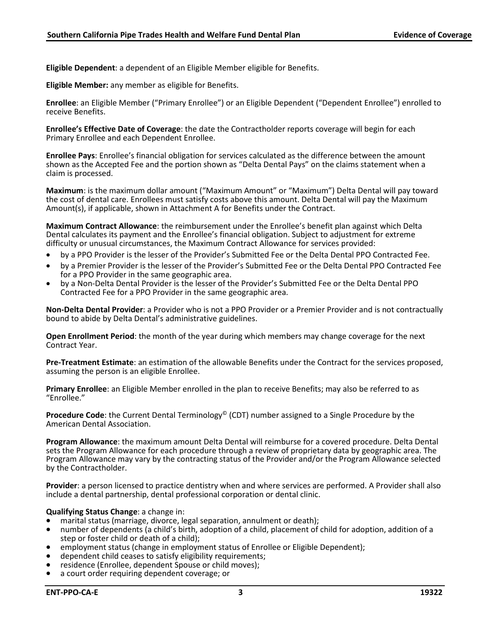**Eligible Dependent**: a dependent of an Eligible Member eligible for Benefits.

**Eligible Member:** any member as eligible for Benefits.

**Enrollee**: an Eligible Member ("Primary Enrollee") or an Eligible Dependent ("Dependent Enrollee") enrolled to receive Benefits.

**Enrollee's Effective Date of Coverage**: the date the Contractholder reports coverage will begin for each Primary Enrollee and each Dependent Enrollee.

**Enrollee Pays**: Enrollee's financial obligation for services calculated as the difference between the amount shown as the Accepted Fee and the portion shown as "Delta Dental Pays" on the claims statement when a claim is processed.

**Maximum**: is the maximum dollar amount ("Maximum Amount" or "Maximum") Delta Dental will pay toward the cost of dental care. Enrollees must satisfy costs above this amount. Delta Dental will pay the Maximum Amount(s), if applicable, shown in Attachment A for Benefits under the Contract.

**Maximum Contract Allowance**: the reimbursement under the Enrollee's benefit plan against which Delta Dental calculates its payment and the Enrollee's financial obligation. Subject to adjustment for extreme difficulty or unusual circumstances, the Maximum Contract Allowance for services provided:

- by a PPO Provider is the lesser of the Provider's Submitted Fee or the Delta Dental PPO Contracted Fee.
- by a Premier Provider is the lesser of the Provider's Submitted Fee or the Delta Dental PPO Contracted Fee<br>for a PPO Provider in the same geographic area.
- by a Non-Delta Dental Provider is the lesser of the Provider's Submitted Fee or the Delta Dental PPO Contracted Fee for a PPO Provider in the same geographic area.

**Non-Delta Dental Provider**: a Provider who is not a PPO Provider or a Premier Provider and is not contractually bound to abide by Delta Dental's administrative guidelines.

**Open Enrollment Period**: the month of the year during which members may change coverage for the next Contract Year.

**Pre-Treatment Estimate**: an estimation of the allowable Benefits under the Contract for the services proposed, assuming the person is an eligible Enrollee.

**Primary Enrollee**: an Eligible Member enrolled in the plan to receive Benefits; may also be referred to as "Enrollee."

**Procedure Code**: the Current Dental Terminology<sup>©</sup> (CDT) number assigned to a Single Procedure by the American Dental Association.

**Program Allowance**: the maximum amount Delta Dental will reimburse for a covered procedure. Delta Dental sets the Program Allowance for each procedure through a review of proprietary data by geographic area. The Program Allowance may vary by the contracting status of the Provider and/or the Program Allowance selected by the Contractholder.

**Provider**: a person licensed to practice dentistry when and where services are performed. A Provider shall also include a dental partnership, dental professional corporation or dental clinic.

- **Qualifying Status Change**: a change in:<br>• marital status (marriage, divorce, legal separation, annulment or death);
- number of dependents (a child's birth, adoption of a child, placement of child for adoption, addition of a step or foster child or death of a child);
- employment status (change in employment status of Enrollee or Eligible Dependent);<br>• dependent child ceases to satisfy eligibility requirements;
- 
- residence (Enrollee, dependent Spouse or child moves); a court order requiring dependent coverage; or
-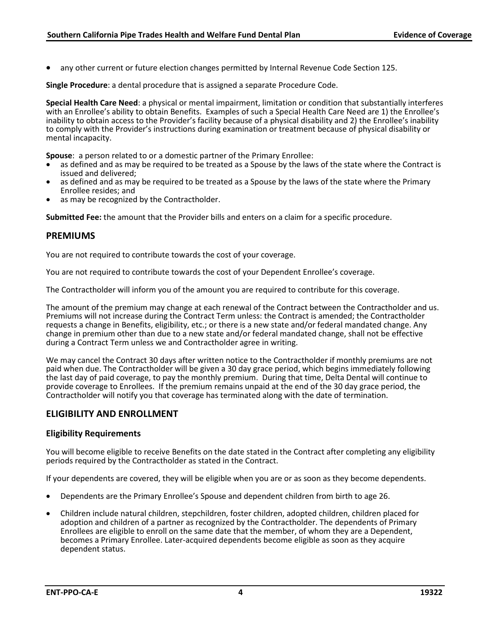any other current or future election changes permitted by Internal Revenue Code Section 125.

**Single Procedure**: a dental procedure that is assigned a separate Procedure Code.

**Special Health Care Need**: a physical or mental impairment, limitation or condition that substantially interferes with an Enrollee's ability to obtain Benefits. Examples of such a Special Health Care Need are 1) the Enrollee's inability to obtain access to the Provider's facility because of a physical disability and 2) the Enrollee's inability to comply with the Provider's instructions during examination or treatment because of physical disability or mental incapacity.

- **Spouse**: a person related to or a domestic partner of the Primary Enrollee:<br>• as defined and as may be required to be treated as a Spouse by the laws of the state where the Contract is<br>issued and delivered:
- as defined and as may be required to be treated as a Spouse by the laws of the state where the Primary Enrollee resides: and
- as may be recognized by the Contractholder.

**Submitted Fee:** the amount that the Provider bills and enters on a claim for a specific procedure.

#### <span id="page-7-0"></span>**PREMIUMS**

You are not required to contribute towards the cost of your coverage.

You are not required to contribute towards the cost of your Dependent Enrollee's coverage.

The Contractholder will inform you of the amount you are required to contribute for this coverage.

The amount of the premium may change at each renewal of the Contract between the Contractholder and us. Premiums will not increase during the Contract Term unless: the Contract is amended; the Contractholder requests a change in Benefits, eligibility, etc.; or there is a new state and/or federal mandated change. Any change in premium other than due to a new state and/or federal mandated change, shall not be effective during a Contract Term unless we and Contractholder agree in writing.

We may cancel the Contract 30 days after written notice to the Contractholder if monthly premiums are not paid when due. The Contractholder will be given a 30 day grace period, which begins immediately following the last day of paid coverage, to pay the monthly premium. During that time, Delta Dental will continue to provide coverage to Enrollees. If the premium remains unpaid at the end of the 30 day grace period, the Contractholder will notify you that coverage has terminated along with the date of termination.

## <span id="page-7-1"></span>**ELIGIBILITY AND ENROLLMENT**

#### **Eligibility Requirements**

You will become eligible to receive Benefits on the date stated in the Contract after completing any eligibility periods required by the Contractholder as stated in the Contract.

If your dependents are covered, they will be eligible when you are or as soon as they become dependents.

- Dependents are the Primary Enrollee's Spouse and dependent children from birth to age 26.
- Children include natural children, stepchildren, foster children, adopted children, children placed for adoption and children of a partner as recognized by the Contractholder. The dependents of Primary Enrollees are eligible to enroll on the same date that the member, of whom they are a Dependent, becomes a Primary Enrollee. Later-acquired dependents become eligible as soon as they acquire dependent status.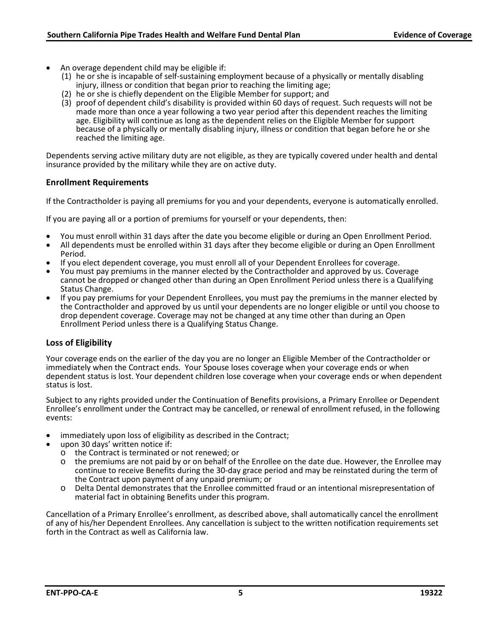- An overage dependent child may be eligible if:
	- (1) he or she is incapable of self-sustaining employment because of a physically or mentally disabling injury, illness or condition that began prior to reaching the limiting age;
	- (2) he or she is chiefly dependent on the Eligible Member for support; and
	- (3) proof of dependent child's disability is provided within 60 days of request. Such requests will not be made more than once a year following a two year period after this dependent reaches the limiting age. Eligibility will continue as long as the dependent relies on the Eligible Member for support because of a physically or mentally disabling injury, illness or condition that began before he or she reached the limiting age.

Dependents serving active military duty are not eligible, as they are typically covered under health and dental insurance provided by the military while they are on active duty.

#### **Enrollment Requirements**

If the Contractholder is paying all premiums for you and your dependents, everyone is automatically enrolled.

If you are paying all or a portion of premiums for yourself or your dependents, then:

- 
- You must enroll within 31 days after the date you become eligible or during an Open Enrollment Period.<br>All dependents must be enrolled within 31 days after they become eligible or during an Open Enrollment Period.
- If you elect dependent coverage, you must enroll all of your Dependent Enrollees for coverage.<br>You must pay premiums in the manner elected by the Contractholder and approved by us. Coverage
- cannot be dropped or changed other than during an Open Enrollment Period unless there is a Qualifying<br>Status Change.
- If you pay premiums for your Dependent Enrollees, you must pay the premiums in the manner elected by the Contractholder and approved by us until your dependents are no longer eligible or until you choose to drop dependent coverage. Coverage may not be changed at any time other than during an Open Enrollment Period unless there is a Qualifying Status Change.

## **Loss of Eligibility**

Your coverage ends on the earlier of the day you are no longer an Eligible Member of the Contractholder or immediately when the Contract ends. Your Spouse loses coverage when your coverage ends or when dependent status is lost. Your dependent children lose coverage when your coverage ends or when dependent status is lost.

Subject to any rights provided under the Continuation of Benefits provisions, a Primary Enrollee or Dependent Enrollee's enrollment under the Contract may be cancelled, or renewal of enrollment refused, in the following events:

- immediately upon loss of eligibility as described in the Contract; upon 30 days' written notice if:
- - o the Contract is terminated or not renewed; or
	- o the premiums are not paid by or on behalf of the Enrollee on the date due. However, the Enrollee may continue to receive Benefits during the 30-day grace period and may be reinstated during the term of the Contract upon payment of any unpaid premium; or
	- o Delta Dental demonstrates that the Enrollee committed fraud or an intentional misrepresentation of material fact in obtaining Benefits under this program.

Cancellation of a Primary Enrollee's enrollment, as described above, shall automatically cancel the enrollment of any of his/her Dependent Enrollees. Any cancellation is subject to the written notification requirements set forth in the Contract as well as California law.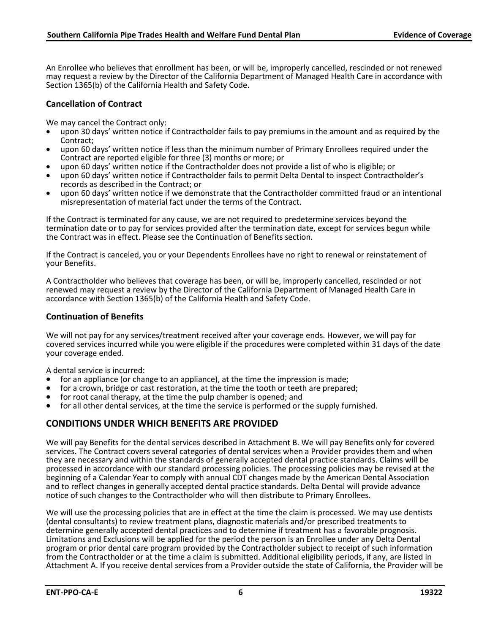An Enrollee who believes that enrollment has been, or will be, improperly cancelled, rescinded or not renewed may request a review by the Director of the California Department of Managed Health Care in accordance with Section 1365(b) of the California Health and Safety Code.

# **Cancellation of Contract**

We may cancel the Contract only:

- upon 30 days' written notice if Contractholder fails to pay premiums in the amount and as required by the
- Contract;<br>upon 60 days' written notice if less than the minimum number of Primary Enrollees required under the Contract are reported eligible for three (3) months or more; or<br>upon 60 days' written notice if the Contractholder does not provide a list of who is eligible; or
- 
- upon 60 days' written notice if Contractholder fails to permit Delta Dental to inspect Contractholder's records as described in the Contract; or
- upon 60 days' written notice if we demonstrate that the Contractholder committed fraud or an intentional misrepresentation of material fact under the terms of the Contract.

If the Contract is terminated for any cause, we are not required to predetermine services beyond the termination date or to pay for services provided after the termination date, except for services begun while the Contract was in effect. Please see the Continuation of Benefits section.

If the Contract is canceled, you or your Dependents Enrollees have no right to renewal or reinstatement of your Benefits.

A Contractholder who believes that coverage has been, or will be, improperly cancelled, rescinded or not renewed may request a review by the Director of the California Department of Managed Health Care in accordance with Section 1365(b) of the California Health and Safety Code.

# **Continuation of Benefits**

We will not pay for any services/treatment received after your coverage ends. However, we will pay for covered services incurred while you were eligible if the procedures were completed within 31 days of the date your coverage ended.

- A dental service is incurred:<br>• for an appliance (or change to an appliance), at the time the impression is made;
- for a crown, bridge or cast restoration, at the time the tooth or teeth are prepared;<br>• for root canal therapy, at the time the pulp chamber is opened; and
- 
- for all other dental services, at the time the service is performed or the supply furnished.

# <span id="page-9-0"></span>**CONDITIONS UNDER WHICH BENEFITS ARE PROVIDED**

We will pay Benefits for the dental services described in Attachment B. We will pay Benefits only for covered services. The Contract covers several categories of dental services when a Provider provides them and when they are necessary and within the standards of generally accepted dental practice standards. Claims will be processed in accordance with our standard processing policies. The processing policies may be revised at the beginning of a Calendar Year to comply with annual CDT changes made by the American Dental Association and to reflect changes in generally accepted dental practice standards. Delta Dental will provide advance notice of such changes to the Contractholder who will then distribute to Primary Enrollees.

We will use the processing policies that are in effect at the time the claim is processed. We may use dentists (dental consultants) to review treatment plans, diagnostic materials and/or prescribed treatments to Limitations and Exclusions will be applied for the period the person is an Enrollee under any Delta Dental program or prior dental care program provided by the Contractholder subject to receipt of such information from the Contractholder or at the time a claim is submitted. Additional eligibility periods, if any, are listed in Attachment A. If you receive dental services from a Provider outside the state of California, the Provider will be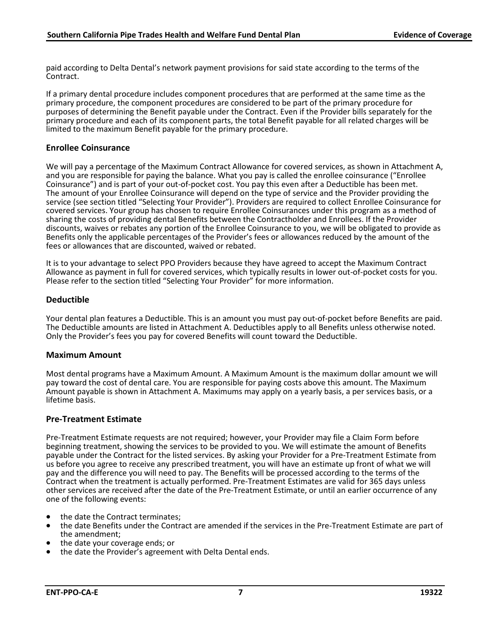paid according to Delta Dental's network payment provisions for said state according to the terms of the Contract.

If a primary dental procedure includes component procedures that are performed at the same time as the primary procedure, the component procedures are considered to be part of the primary procedure for purposes of determining the Benefit payable under the Contract. Even if the Provider bills separately for the primary procedure and each of its component parts, the total Benefit payable for all related charges will be limited to the maximum Benefit payable for the primary procedure.

#### **Enrollee Coinsurance**

We will pay a percentage of the Maximum Contract Allowance for covered services, as shown in Attachment A, and you are responsible for paying the balance. What you pay is called the enrollee coinsurance ("Enrollee Coinsurance") and is part of your out-of-pocket cost. You pay this even after a Deductible has been met. The amount of your Enrollee Coinsurance will depend on the type of service and the Provider providing the service (see section titled "Selecting Your Provider"). Providers are required to collect Enrollee Coinsurance for covered services. Your group has chosen to require Enrollee Coinsurances under this program as a method of sharing the costs of providing dental Benefits between the Contractholder and Enrollees. If the Provider discounts, waives or rebates any portion of the Enrollee Coinsurance to you, we will be obligated to provide as Benefits only the applicable percentages of the Provider's fees or allowances reduced by the amount of the fees or allowances that are discounted, waived or rebated.

It is to your advantage to select PPO Providers because they have agreed to accept the Maximum Contract Allowance as payment in full for covered services, which typically results in lower out-of-pocket costs for you. Please refer to the section titled "Selecting Your Provider" for more information.

#### **Deductible**

Your dental plan features a Deductible. This is an amount you must pay out-of-pocket before Benefits are paid. The Deductible amounts are listed in Attachment A. Deductibles apply to all Benefits unless otherwise noted. Only the Provider's fees you pay for covered Benefits will count toward the Deductible.

#### **Maximum Amount**

Most dental programs have a Maximum Amount. A Maximum Amount is the maximum dollar amount we will pay toward the cost of dental care. You are responsible for paying costs above this amount. The Maximum Amount payable is shown in Attachment A. Maximums may apply on a yearly basis, a per services basis, or a lifetime basis.

#### **Pre-Treatment Estimate**

Pre-Treatment Estimate requests are not required; however, your Provider may file a Claim Form before beginning treatment, showing the services to be provided to you. We will estimate the amount of Benefits payable under the Contract for the listed services. By asking your Provider for a Pre-Treatment Estimate from us before you agree to receive any prescribed treatment, you will have an estimate up front of what we will pay and the difference you will need to pay. The Benefits will be processed according to the terms of the Contract when the treatment is actually performed. Pre-Treatment Estimates are valid for 365 days unless other services are received after the date of the Pre-Treatment Estimate, or until an earlier occurrence of any one of the following events:

- the date the Contract terminates;
- the date Benefits under the Contract are amended if the services in the Pre-Treatment Estimate are part of the amendment;
- the date your coverage ends; or
- the date the Provider's agreement with Delta Dental ends.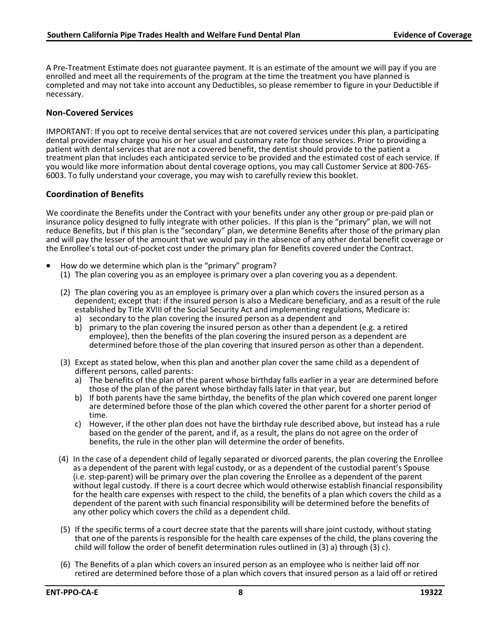A Pre-Treatment Estimate does not guarantee payment. It is an estimate of the amount we will pay if you are enrolled and meet all the requirements of the program at the time the treatment you have planned is completed and may not take into account any Deductibles, so please remember to figure in your Deductible if necessary.

#### **Non-Covered Services**

IMPORTANT: If you opt to receive dental services that are not covered services under this plan, a participating dental provider may charge you his or her usual and customary rate for those services. Prior to providing a patient with dental services that are not a covered benefit, the dentist should provide to the patient a treatment plan that includes each anticipated service to be provided and the estimated cost of each service. If you would like more information about dental coverage options, you may call Customer Service at 800-765-<br>6003. To fully understand your coverage, you may wish to carefully review this booklet.

#### **Coordination of Benefits**

We coordinate the Benefits under the Contract with your benefits under any other group or pre-paid plan or insurance policy designed to fully integrate with other policies. If this plan is the "primary" plan, we will not reduce Benefits, but if this plan is the "secondary" plan, we determine Benefits after those of the primary plan and will pay the lesser of the amount that we would pay in the absence of any other dental benefit coverage or the Enrollee's total out-of-pocket cost under the primary plan for Benefits covered under the Contract.

- How do we determine which plan is the "primary" program?
	- (1) The plan covering you as an employee is primary over a plan covering you as a dependent.
	- (2) The plan covering you as an employee is primary over a plan which covers the insured person as a dependent; except that: if the insured person is also a Medicare beneficiary, and as a result of the rule established by Title XVIII of the Social Security Act and implementing regulations, Medicare is:
		- a) secondary to the plan covering the insured person as a dependent and
		- b) primary to the plan covering the insured person as other than a dependent (e.g. a retired employee), then the benefits of the plan covering the insured person as a dependent are determined before those of the plan covering that insured person as other than a dependent.
	- (3) Except as stated below, when this plan and another plan cover the same child as a dependent of different persons, called parents:
		- a) The benefits of the plan of the parent whose birthday falls earlier in a year are determined before those of the plan of the parent whose birthday falls later in that year, but
		- b) If both parents have the same birthday, the benefits of the plan which covered one parent longer are determined before those of the plan which covered the other parent for a shorter period of time.
		- c) However, if the other plan does not have the birthday rule described above, but instead has a rule based on the gender of the parent, and if, as a result, the plans do not agree on the order of benefits, the rule in the other plan will determine the order of benefits.
	- (4) In the case of a dependent child of legally separated or divorced parents, the plan covering the Enrollee as a dependent of the parent with legal custody, or as a dependent of the custodial parent's Spouse (i.e. step-parent) will be primary over the plan covering the Enrollee as a dependent of the parent without legal custody. If there is a court decree which would otherwise establish financial responsibility for the health care expenses with respect to the child, the benefits of a plan which covers the child as a dependent of the parent with such financial responsibility will be determined before the benefits of any other policy which covers the child as a dependent child.
	- (5) If the specific terms of a court decree state that the parents will share joint custody, without stating that one of the parents is responsible for the health care expenses of the child, the plans covering the child will follow the order of benefit determination rules outlined in (3) a) through (3) c).
	- (6) The Benefits of a plan which covers an insured person as an employee who is neither laid off nor retired are determined before those of a plan which covers that insured person as a laid off or retired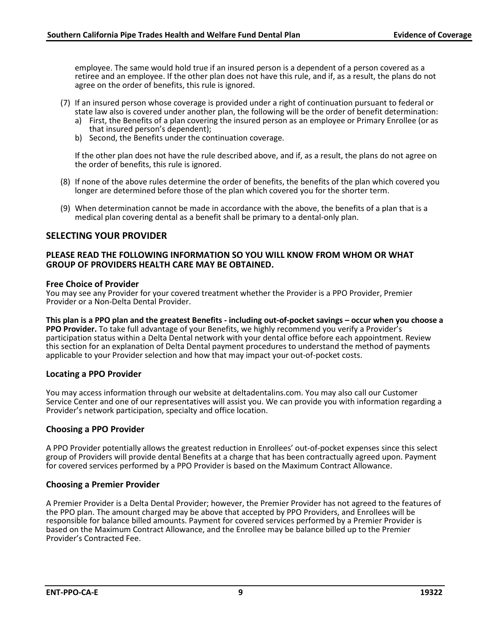employee. The same would hold true if an insured person is a dependent of a person covered as a retiree and an employee. If the other plan does not have this rule, and if, as a result, the plans do not agree on the order of benefits, this rule is ignored.

- (7) If an insured person whose coverage is provided under a right of continuation pursuant to federal or state law also is covered under another plan, the following will be the order of benefit determination:
	- a) First, the Benefits of a plan covering the insured person as an employee or Primary Enrollee (or as that insured person's dependent);
	- b) Second, the Benefits under the continuation coverage.

If the other plan does not have the rule described above, and if, as a result, the plans do not agree on the order of benefits, this rule is ignored.

- (8) If none of the above rules determine the order of benefits, the benefits of the plan which covered you longer are determined before those of the plan which covered you for the shorter term.
- (9) When determination cannot be made in accordance with the above, the benefits of a plan that is a medical plan covering dental as a benefit shall be primary to a dental-only plan.

## <span id="page-12-0"></span>**SELECTING YOUR PROVIDER**

#### **PLEASE READ THE FOLLOWING INFORMATION SO YOU WILL KNOW FROM WHOM OR WHAT GROUP OF PROVIDERS HEALTH CARE MAY BE OBTAINED.**

#### **Free Choice of Provider**

You may see any Provider for your covered treatment whether the Provider is a PPO Provider, Premier Provider or a Non-Delta Dental Provider.

**This plan is a PPO plan and the greatest Benefits - including out-of-pocket savings – occur when you choose a PPO Provider.** To take full advantage of your Benefits, we highly recommend you verify a Provider's participation status within a Delta Dental network with your dental office before each appointment. Review this section for an explanation of Delta Dental payment procedures to understand the method of payments applicable to your Provider selection and how that may impact your out-of-pocket costs.

#### **Locating a PPO Provider**

You may access information through our website at deltadentalins.com. You may also call our Customer Service Center and one of our representatives will assist you. We can provide you with information regarding a Provider's network participation, specialty and office location.

#### **Choosing a PPO Provider**

A PPO Provider potentially allows the greatest reduction in Enrollees' out-of-pocket expenses since this select group of Providers will provide dental Benefits at a charge that has been contractually agreed upon. Payment for covered services performed by a PPO Provider is based on the Maximum Contract Allowance.

#### **Choosing a Premier Provider**

A Premier Provider is a Delta Dental Provider; however, the Premier Provider has not agreed to the features of the PPO plan. The amount charged may be above that accepted by PPO Providers, and Enrollees will be responsible for balance billed amounts. Payment for covered services performed by a Premier Provider is based on the Maximum Contract Allowance, and the Enrollee may be balance billed up to the Premier Provider's Contracted Fee.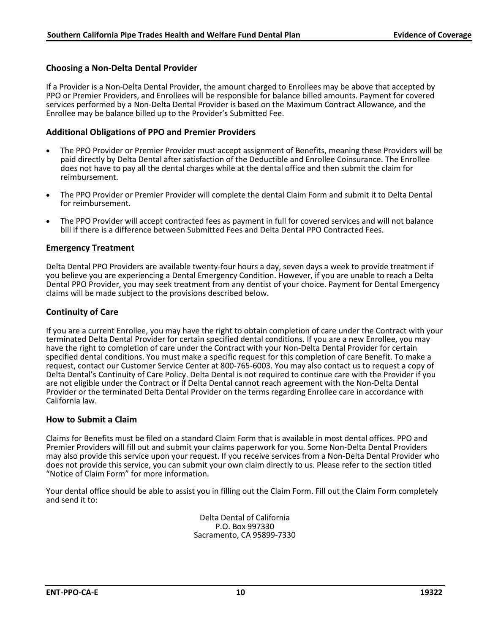## **Choosing a Non-Delta Dental Provider**

If a Provider is a Non-Delta Dental Provider, the amount charged to Enrollees may be above that accepted by PPO or Premier Providers, and Enrollees will be responsible for balance billed amounts. Payment for covered services performed by a Non-Delta Dental Provider is based on the Maximum Contract Allowance, and the Enrollee may be balance billed up to the Provider's Submitted Fee.

#### **Additional Obligations of PPO and Premier Providers**

- The PPO Provider or Premier Provider must accept assignment of Benefits, meaning these Providers will be paid directly by Delta Dental after satisfaction of the Deductible and Enrollee Coinsurance. The Enrollee does not have to pay all the dental charges while at the dental office and then submit the claim for reimbursement.
- The PPO Provider or Premier Provider will complete the dental Claim Form and submit it to Delta Dental for reimbursement.
- The PPO Provider will accept contracted fees as payment in full for covered services and will not balance bill if there is a difference between Submitted Fees and Delta Dental PPO Contracted Fees.

#### **Emergency Treatment**

Delta Dental PPO Providers are available twenty-four hours a day, seven days a week to provide treatment if you believe you are experiencing a Dental Emergency Condition. However, if you are unable to reach a Delta Dental PPO Provider, you may seek treatment from any dentist of your choice. Payment for Dental Emergency claims will be made subject to the provisions described below.

#### **Continuity of Care**

If you are a current Enrollee, you may have the right to obtain completion of care under the Contract with your terminated Delta Dental Provider for certain specified dental conditions. If you are a new Enrollee, you may have the right to completion of care under the Contract with your Non-Delta Dental Provider for certain specified dental conditions. You must make a specific request for this completion of care Benefit. To make a request, contact our Customer Service Center at 800-765-6003. You may also contact us to request a copy of Delta Dental's Continuity of Care Policy. Delta Dental is not required to continue care with the Provider if you are not eligible under the Contract or if Delta Dental cannot reach agreement with the Non-Delta Dental Provider or the terminated Delta Dental Provider on the terms regarding Enrollee care in accordance with California law.

#### **How to Submit a Claim**

Claims for Benefits must be filed on a standard Claim Form that is available in most dental offices. PPO and Premier Providers will fill out and submit your claims paperwork for you. Some Non-Delta Dental Providers may also provide this service upon your request. If you receive services from a Non-Delta Dental Provider who does not provide this service, you can submit your own claim directly to us. Please refer to the section titled "Notice of Claim Form" for more information.

<span id="page-13-0"></span>Your dental office should be able to assist you in filling out the Claim Form. Fill out the Claim Form completely and send it to:

> Delta Dental of California P.O. Box 997330 Sacramento, CA 95899-7330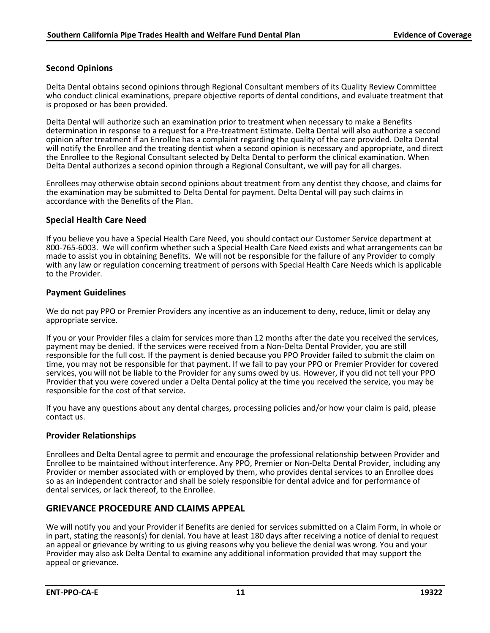# **Second Opinions**

Delta Dental obtains second opinions through Regional Consultant members of its Quality Review Committee who conduct clinical examinations, prepare objective reports of dental conditions, and evaluate treatment that is proposed or has been provided.

Delta Dental will authorize such an examination prior to treatment when necessary to make a Benefits determination in response to a request for a Pre-treatment Estimate. Delta Dental will also authorize a second opinion after treatment if an Enrollee has a complaint regarding the quality of the care provided. Delta Dental will notify the Enrollee and the treating dentist when a second opinion is necessary and appropriate, and direct the Enrollee to the Regional Consultant selected by Delta Dental to perform the clinical examination. When Delta Dental authorizes a second opinion through a Regional Consultant, we will pay for all charges.

Enrollees may otherwise obtain second opinions about treatment from any dentist they choose, and claims for the examination may be submitted to Delta Dental for payment. Delta Dental will pay such claims in accordance with the Benefits of the Plan.

#### **Special Health Care Need**

If you believe you have a Special Health Care Need, you should contact our Customer Service department at 800-765-6003. We will confirm whether such a Special Health Care Need exists and what arrangements can be made to assist you in obtaining Benefits. We will not be responsible for the failure of any Provider to comply with any law or regulation concerning treatment of persons with Special Health Care Needs which is applicable to the Provider.

#### **Payment Guidelines**

We do not pay PPO or Premier Providers any incentive as an inducement to deny, reduce, limit or delay any appropriate service.

If you or your Provider files a claim for services more than 12 months after the date you received the services, payment may be denied. If the services were received from a Non-Delta Dental Provider, you are still responsible for the full cost. If the payment is denied because you PPO Provider failed to submit the claim on time, you may not be responsible for that payment. If we fail to pay your PPO or Premier Provider for covered services, you will not be liable to the Provider for any sums owed by us. However, if you did not tell your PPO Provider that you were covered under a Delta Dental policy at the time you received the service, you may be responsible for the cost of that service.

If you have any questions about any dental charges, processing policies and/or how your claim is paid, please contact us.

## **Provider Relationships**

Enrollees and Delta Dental agree to permit and encourage the professional relationship between Provider and Enrollee to be maintained without interference. Any PPO, Premier or Non-Delta Dental Provider, including any Provider or member associated with or employed by them, who provides dental services to an Enrollee does so as an independent contractor and shall be solely responsible for dental advice and for performance of dental services, or lack thereof, to the Enrollee.

## **GRIEVANCE PROCEDURE AND CLAIMS APPEAL**

We will notify you and your Provider if Benefits are denied for services submitted on a Claim Form, in whole or in part, stating the reason(s) for denial. You have at least 180 days after receiving a notice of denial to request an appeal or grievance by writing to us giving reasons why you believe the denial was wrong. You and your Provider may also ask Delta Dental to examine any additional information provided that may support the appeal or grievance.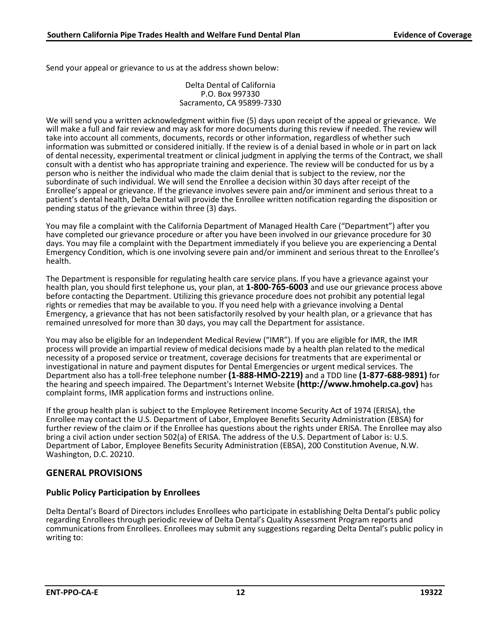Send your appeal or grievance to us at the address shown below:

Delta Dental of California P.O. Box 997330 Sacramento, CA 95899-7330

We will send you a written acknowledgment within five (5) days upon receipt of the appeal or grievance. We will make a full and fair review and may ask for more documents during this review if needed. The review will take into account all comments, documents, records or other information, regardless of whether such information was submitted or considered initially. If the review is of a denial based in whole or in part on lack of dental necessity, experimental treatment or clinical judgment in applying the terms of the Contract, we shall consult with a dentist who has appropriate training and experience. The review will be conducted for us by a person who is neither the individual who made the claim denial that is subject to the review, nor the subordinate of such individual. We will send the Enrollee a decision within 30 days after receipt of the Enrollee's appeal or grievance. If the grievance involves severe pain and/or imminent and serious threat to a patient's dental health, Delta Dental will provide the Enrollee written notification regarding the disposition or pending status of the grievance within three (3) days.

<span id="page-15-0"></span>You may file a complaint with the California Department of Managed Health Care ("Department") after you have completed our grievance procedure or after you have been involved in our grievance procedure for 30 days. You may file a complaint with the Department immediately if you believe you are experiencing a Dental Emergency Condition, which is one involving severe pain and/or imminent and serious threat to the Enrollee's health.

The Department is responsible for regulating health care service plans. If you have a grievance against your health plan, you should first telephone us, your plan, at **1-800-765-6003** and use our grievance process above before contacting the Department. Utilizing this grievance procedure does not prohibit any potential legal rights or remedies that may be available to you. If you need help with a grievance involving a Dental Emergency, a grievance that has not been satisfactorily resolved by your health plan, or a grievance that has remained unresolved for more than 30 days, you may call the Department for assistance.

You may also be eligible for an Independent Medical Review ("IMR"). If you are eligible for IMR, the IMR process will provide an impartial review of medical decisions made by a health plan related to the medical necessity of a proposed service or treatment, coverage decisions for treatments that are experimental or investigational in nature and payment disputes for Dental Emergencies or urgent medical services. The Department also has a toll-free telephone number **(1-888-HMO-2219)** and a TDD line **(1-877-688-9891)** for the hearing and speech impaired. The Department's Internet Website **(http://www.hmohelp.ca.gov)** has complaint forms, IMR application forms and instructions online.

If the group health plan is subject to the Employee Retirement Income Security Act of 1974 (ERISA), the Enrollee may contact the U.S. Department of Labor, Employee Benefits Security Administration (EBSA) for further review of the claim or if the Enrollee has questions about the rights under ERISA. The Enrollee may also bring a civil action under section 502(a) of ERISA. The address of the U.S. Department of Labor is: U.S. Department of Labor, Employee Benefits Security Administration (EBSA), 200 Constitution Avenue, N.W. Washington, D.C. 20210.

## **GENERAL PROVISIONS**

# **Public Policy Participation by Enrollees**

Delta Dental's Board of Directors includes Enrollees who participate in establishing Delta Dental's public policy regarding Enrollees through periodic review of Delta Dental's Quality Assessment Program reports and communications from Enrollees. Enrollees may submit any suggestions regarding Delta Dental's public policy in writing to: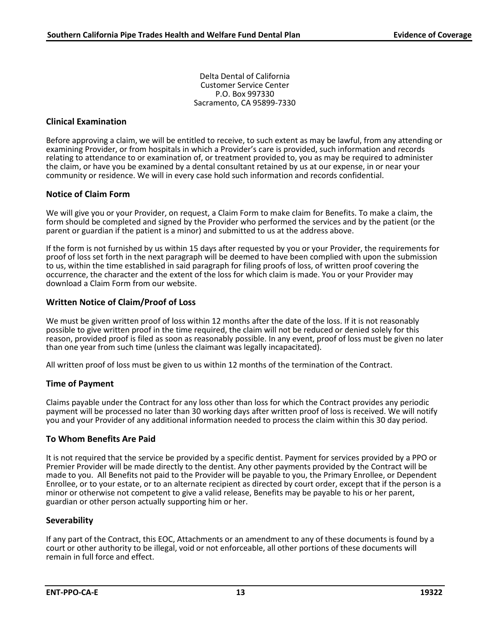Delta Dental of California Customer Service Center P.O. Box 997330 Sacramento, CA 95899-7330

#### **Clinical Examination**

Before approving a claim, we will be entitled to receive, to such extent as may be lawful, from any attending or examining Provider, or from hospitals in which a Provider's care is provided, such information and records relating to attendance to or examination of, or treatment provided to, you as may be required to administer the claim, or have you be examined by a dental consultant retained by us at our expense, in or near your community or residence. We will in every case hold such information and records confidential.

#### **Notice of Claim Form**

We will give you or your Provider, on request, a Claim Form to make claim for Benefits. To make a claim, the form should be completed and signed by the Provider who performed the services and by the patient (or the parent or guardian if the patient is a minor) and submitted to us at the address above.

If the form is not furnished by us within 15 days after requested by you or your Provider, the requirements for proof of loss set forth in the next paragraph will be deemed to have been complied with upon the submission to us, within the time established in said paragraph for filing proofs of loss, of written proof covering the occurrence, the character and the extent of the loss for which claim is made. You or your Provider may download a Claim Form from our website.

#### **Written Notice of Claim/Proof of Loss**

We must be given written proof of loss within 12 months after the date of the loss. If it is not reasonably possible to give written proof in the time required, the claim will not be reduced or denied solely for this reason, provided proof is filed as soon as reasonably possible. In any event, proof of loss must be given no later than one year from such time (unless the claimant was legally incapacitated).

All written proof of loss must be given to us within 12 months of the termination of the Contract.

#### **Time of Payment**

Claims payable under the Contract for any loss other than loss for which the Contract provides any periodic payment will be processed no later than 30 working days after written proof of loss is received. We will notify you and your Provider of any additional information needed to process the claim within this 30 day period.

#### **To Whom Benefits Are Paid**

It is not required that the service be provided by a specific dentist. Payment for services provided by a PPO or Premier Provider will be made directly to the dentist. Any other payments provided by the Contract will be made to you. All Benefits not paid to the Provider will be payable to you, the Primary Enrollee, or Dependent Enrollee, or to your estate, or to an alternate recipient as directed by court order, except that if the person is a minor or otherwise not competent to give a valid release, Benefits may be payable to his or her parent, guardian or other person actually supporting him or her.

#### **Severability**

If any part of the Contract, this EOC, Attachments or an amendment to any of these documents is found by a court or other authority to be illegal, void or not enforceable, all other portions of these documents will remain in full force and effect.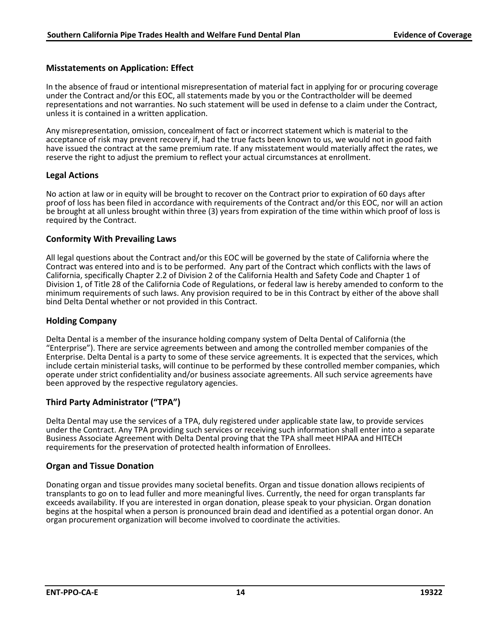### **Misstatements on Application: Effect**

In the absence of fraud or intentional misrepresentation of material fact in applying for or procuring coverage under the Contract and/or this EOC, all statements made by you or the Contractholder will be deemed representations and not warranties. No such statement will be used in defense to a claim under the Contract, unless it is contained in a written application.

Any misrepresentation, omission, concealment of fact or incorrect statement which is material to the acceptance of risk may prevent recovery if, had the true facts been known to us, we would not in good faith have issued the contract at the same premium rate. If any misstatement would materially affect the rates, we reserve the right to adjust the premium to reflect your actual circumstances at enrollment.

#### **Legal Actions**

No action at law or in equity will be brought to recover on the Contract prior to expiration of 60 days after proof of loss has been filed in accordance with requirements of the Contract and/or this EOC, nor will an action be brought at all unless brought within three (3) years from expiration of the time within which proof of loss is required by the Contract.

#### **Conformity With Prevailing Laws**

All legal questions about the Contract and/or this EOC will be governed by the state of California where the Contract was entered into and is to be performed. Any part of the Contract which conflicts with the laws of California, specifically Chapter 2.2 of Division 2 of the California Health and Safety Code and Chapter 1 of Division 1, of Title 28 of the California Code of Regulations, or federal law is hereby amended to conform to the minimum requirements of such laws. Any provision required to be in this Contract by either of the above shall bind Delta Dental whether or not provided in this Contract.

#### **Holding Company**

Delta Dental is a member of the insurance holding company system of Delta Dental of California (the "Enterprise"). There are service agreements between and among the controlled member companies of the Enterprise. Delta Dental is a party to some of these service agreements. It is expected that the services, which include certain ministerial tasks, will continue to be performed by these controlled member companies, which operate under strict confidentiality and/or business associate agreements. All such service agreements have been approved by the respective regulatory agencies.

#### **Third Party Administrator ("TPA")**

Delta Dental may use the services of a TPA, duly registered under applicable state law, to provide services under the Contract. Any TPA providing such services or receiving such information shall enter into a separate Business Associate Agreement with Delta Dental proving that the TPA shall meet HIPAA and HITECH requirements for the preservation of protected health information of Enrollees.

#### **Organ and Tissue Donation**

Donating organ and tissue provides many societal benefits. Organ and tissue donation allows recipients of transplants to go on to lead fuller and more meaningful lives. Currently, the need for organ transplants far exceeds availability. If you are interested in organ donation, please speak to your physician. Organ donation begins at the hospital when a person is pronounced brain dead and identified as a potential organ donor. An organ procurement organization will become involved to coordinate the activities.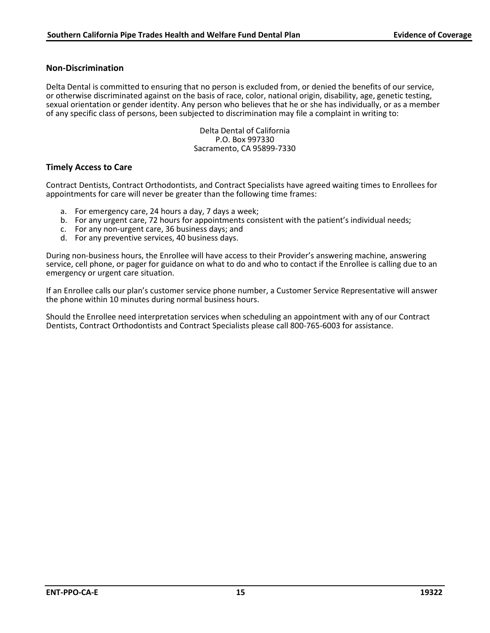#### **Non-Discrimination**

Delta Dental is committed to ensuring that no person is excluded from, or denied the benefits of our service, or otherwise discriminated against on the basis of race, color, national origin, disability, age, genetic testing, sexual orientation or gender identity. Any person who believes that he or she has individually, or as a member of any specific class of persons, been subjected to discrimination may file a complaint in writing to:

> Delta Dental of California P.O. Box 997330 Sacramento, CA 95899-7330

#### **Timely Access to Care**

Contract Dentists, Contract Orthodontists, and Contract Specialists have agreed waiting times to Enrollees for appointments for care will never be greater than the following time frames:

- a. For emergency care, 24 hours a day, 7 days a week;
- b. For any urgent care, 72 hours for appointments consistent with the patient's individual needs;
- c. For any non-urgent care, 36 business days; and
- d. For any preventive services, 40 business days.

During non-business hours, the Enrollee will have access to their Provider's answering machine, answering service, cell phone, or pager for guidance on what to do and who to contact if the Enrollee is calling due to an emergency or urgent care situation.

If an Enrollee calls our plan's customer service phone number, a Customer Service Representative will answer the phone within 10 minutes during normal business hours.

Should the Enrollee need interpretation services when scheduling an appointment with any of our Contract Dentists, Contract Orthodontists and Contract Specialists please call 800-765-6003 for assistance.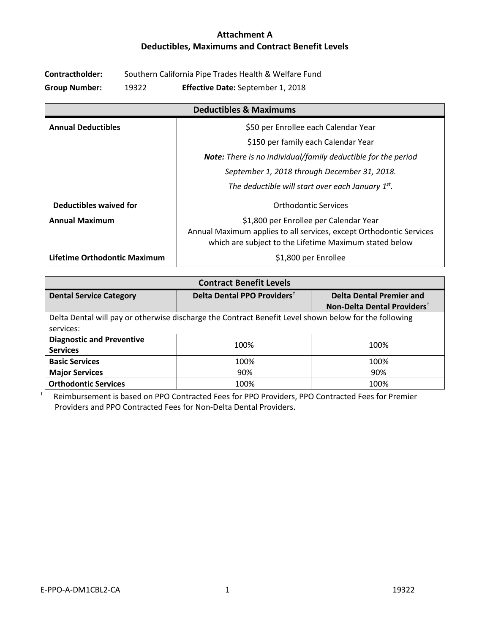# **Attachment A Deductibles, Maximums and Contract Benefit Levels**

**Contractholder:** Southern California Pipe Trades Health & Welfare Fund

**Group Number:** 19322 **Effective Date:** September 1, 2018

| <b>Deductibles &amp; Maximums</b> |                                                                      |  |  |
|-----------------------------------|----------------------------------------------------------------------|--|--|
| <b>Annual Deductibles</b>         | \$50 per Enrollee each Calendar Year                                 |  |  |
|                                   | \$150 per family each Calendar Year                                  |  |  |
|                                   | <b>Note:</b> There is no individual/family deductible for the period |  |  |
|                                   | September 1, 2018 through December 31, 2018.                         |  |  |
|                                   | The deductible will start over each January $1^{st}$ .               |  |  |
| Deductibles waived for            | <b>Orthodontic Services</b>                                          |  |  |
| <b>Annual Maximum</b>             | \$1,800 per Enrollee per Calendar Year                               |  |  |
|                                   | Annual Maximum applies to all services, except Orthodontic Services  |  |  |
|                                   | which are subject to the Lifetime Maximum stated below               |  |  |
| Lifetime Orthodontic Maximum      | \$1,800 per Enrollee                                                 |  |  |

| <b>Contract Benefit Levels</b>                                                                                     |                                         |                                                                            |  |
|--------------------------------------------------------------------------------------------------------------------|-----------------------------------------|----------------------------------------------------------------------------|--|
| <b>Dental Service Category</b>                                                                                     | Delta Dental PPO Providers <sup>+</sup> | <b>Delta Dental Premier and</b><br>Non-Delta Dental Providers <sup>+</sup> |  |
| Delta Dental will pay or otherwise discharge the Contract Benefit Level shown below for the following<br>services: |                                         |                                                                            |  |
| <b>Diagnostic and Preventive</b><br><b>Services</b>                                                                | 100%                                    | 100%                                                                       |  |
| <b>Basic Services</b>                                                                                              | 100%                                    | 100%                                                                       |  |
| <b>Major Services</b>                                                                                              | 90%                                     | 90%                                                                        |  |
| <b>Orthodontic Services</b>                                                                                        | 100%                                    | 100%                                                                       |  |

† Reimbursement is based on PPO Contracted Fees for PPO Providers, PPO Contracted Fees for Premier Providers and PPO Contracted Fees for Non-Delta Dental Providers.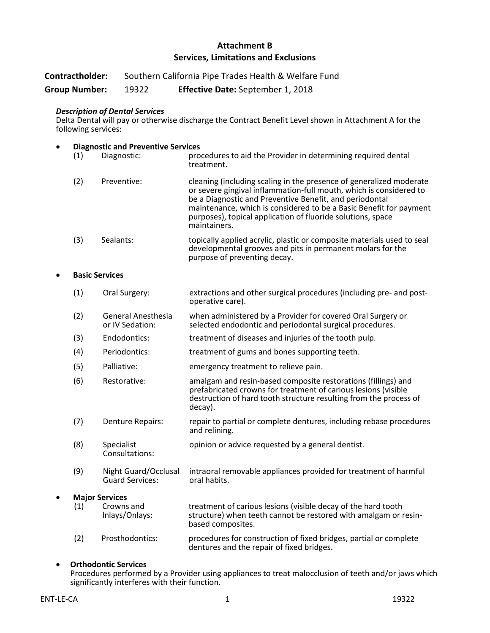## **Attachment B Services, Limitations and Exclusions**

| Contractholder:<br><b>Group Number:</b>                |                     | Southern California Pipe Trades Health & Welfare Fund |                                                                             |                                                                                                                                                                                                                                                                                                                                                           |
|--------------------------------------------------------|---------------------|-------------------------------------------------------|-----------------------------------------------------------------------------|-----------------------------------------------------------------------------------------------------------------------------------------------------------------------------------------------------------------------------------------------------------------------------------------------------------------------------------------------------------|
|                                                        |                     | 19322                                                 | Effective Date: September 1, 2018                                           |                                                                                                                                                                                                                                                                                                                                                           |
|                                                        | following services: |                                                       | <b>Description of Dental Services</b>                                       | Delta Dental will pay or otherwise discharge the Contract Benefit Level shown in Attachment A for the                                                                                                                                                                                                                                                     |
| <b>Diagnostic and Preventive Services</b><br>$\bullet$ |                     |                                                       |                                                                             |                                                                                                                                                                                                                                                                                                                                                           |
| (1)                                                    |                     | Diagnostic:                                           | procedures to aid the Provider in determining required dental<br>treatment. |                                                                                                                                                                                                                                                                                                                                                           |
|                                                        | (2)                 |                                                       | Preventive:                                                                 | cleaning (including scaling in the presence of generalized moderate<br>or severe gingival inflammation-full mouth, which is considered to<br>be a Diagnostic and Preventive Benefit, and periodontal<br>maintenance, which is considered to be a Basic Benefit for payment<br>purposes), topical application of fluoride solutions, space<br>maintainers. |
|                                                        | (3)                 | Sealants:                                             |                                                                             | topically applied acrylic, plastic or composite materials used to seal<br>developmental grooves and pits in permanent molars for the<br>purpose of preventing decay.                                                                                                                                                                                      |
|                                                        |                     | <b>Basic Services</b>                                 |                                                                             |                                                                                                                                                                                                                                                                                                                                                           |
|                                                        | (1)                 |                                                       | Oral Surgery:                                                               | extractions and other surgical procedures (including pre- and post-<br>operative care).                                                                                                                                                                                                                                                                   |
|                                                        | (2)                 |                                                       | <b>General Anesthesia</b><br>or IV Sedation:                                | when administered by a Provider for covered Oral Surgery or<br>selected endodontic and periodontal surgical procedures.                                                                                                                                                                                                                                   |
|                                                        | (3)                 |                                                       | Endodontics:                                                                | treatment of diseases and injuries of the tooth pulp.                                                                                                                                                                                                                                                                                                     |
|                                                        | (4)                 |                                                       | Periodontics:                                                               | treatment of gums and bones supporting teeth.                                                                                                                                                                                                                                                                                                             |
|                                                        | (5)                 | Palliative:                                           |                                                                             | emergency treatment to relieve pain.                                                                                                                                                                                                                                                                                                                      |
|                                                        | (6)                 |                                                       | Restorative:                                                                | amalgam and resin-based composite restorations (fillings) and<br>prefabricated crowns for treatment of carious lesions (visible<br>destruction of hard tooth structure resulting from the process of<br>decay).                                                                                                                                           |
|                                                        | (7)                 |                                                       | <b>Denture Repairs:</b>                                                     | repair to partial or complete dentures, including rebase procedures<br>and relining.                                                                                                                                                                                                                                                                      |
|                                                        | (8)                 | Specialist                                            | Consultations:                                                              | opinion or advice requested by a general dentist.                                                                                                                                                                                                                                                                                                         |
|                                                        | (9)                 |                                                       | Night Guard/Occlusal<br><b>Guard Services:</b>                              | intraoral removable appliances provided for treatment of harmful<br>oral habits.                                                                                                                                                                                                                                                                          |
| <b>Major Services</b>                                  |                     |                                                       |                                                                             |                                                                                                                                                                                                                                                                                                                                                           |
|                                                        | (1)                 |                                                       | Crowns and<br>Inlays/Onlays:                                                | treatment of carious lesions (visible decay of the hard tooth<br>structure) when teeth cannot be restored with amalgam or resin-<br>based composites.                                                                                                                                                                                                     |
|                                                        | (2)                 |                                                       | Prosthodontics:                                                             | procedures for construction of fixed bridges, partial or complete<br>dentures and the repair of fixed bridges.                                                                                                                                                                                                                                            |
|                                                        |                     |                                                       |                                                                             |                                                                                                                                                                                                                                                                                                                                                           |

#### • **Orthodontic Services**

Procedures performed by a Provider using appliances to treat malocclusion of teeth and/or jaws which significantly interferes with their function.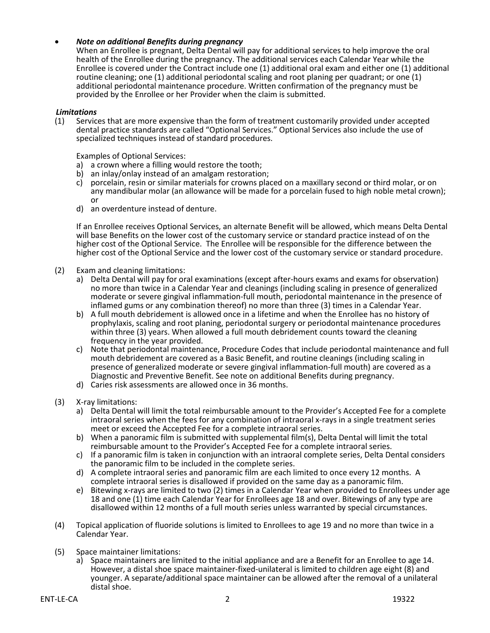#### • *Note on additional Benefits during pregnancy*

When an Enrollee is pregnant, Delta Dental will pay for additional services to help improve the oral health of the Enrollee during the pregnancy. The additional services each Calendar Year while the Enrollee is covered under the Contract include one (1) additional oral exam and either one (1) additional routine cleaning; one (1) additional periodontal scaling and root planing per quadrant; or one (1) additional periodontal maintenance procedure. Written confirmation of the pregnancy must be provided by the Enrollee or her Provider when the claim is submitted.

#### *Limitations*

(1) Services that are more expensive than the form of treatment customarily provided under accepted dental practice standards are called "Optional Services." Optional Services also include the use of specialized techniques instead of standard procedures.

Examples of Optional Services:

- a) a crown where a filling would restore the tooth;
- b) an inlay/onlay instead of an amalgam restoration;
- c) porcelain, resin or similar materials for crowns placed on a maxillary second or third molar, or on any mandibular molar (an allowance will be made for a porcelain fused to high noble metal crown); or
- d) an overdenture instead of denture.

If an Enrollee receives Optional Services, an alternate Benefit will be allowed, which means Delta Dental will base Benefits on the lower cost of the customary service or standard practice instead of on the higher cost of the Optional Service. The Enrollee will be responsible for the difference between the higher cost of the Optional Service and the lower cost of the customary service or standard procedure.

- (2) Exam and cleaning limitations:
	- a) Delta Dental will pay for oral examinations (except after-hours exams and exams for observation) no more than twice in a Calendar Year and cleanings (including scaling in presence of generalized moderate or severe gingival inflammation-full mouth, periodontal maintenance in the presence of inflamed gums or any combination thereof) no more than three (3) times in a Calendar Year. b) A full mouth debridement is allowed once in a lifetime and when the Enrollee has no history of
	- prophylaxis, scaling and root planing, periodontal surgery or periodontal maintenance procedures within three (3) years. When allowed a full mouth debridement counts toward the cleaning frequency in the year provided.
	- c) Note that periodontal maintenance, Procedure Codes that include periodontal maintenance and full mouth debridement are covered as a Basic Benefit, and routine cleanings (including scaling in presence of generalized moderate or severe gingival inflammation-full mouth) are covered as a Diagnostic and Preventive Benefit. See note on additional Benefits during pregnancy.
	- d) Caries risk assessments are allowed once in 36 months.
- (3) X-ray limitations:
	- a) Delta Dental will limit the total reimbursable amount to the Provider's Accepted Fee for a complete intraoral series when the fees for any combination of intraoral x-rays in a single treatment series meet or exceed the Accepted Fee for a complete intraoral series.
	- b) When a panoramic film is submitted with supplemental film(s), Delta Dental will limit the total reimbursable amount to the Provider's Accepted Fee for a complete intraoral series.
	- c) If a panoramic film is taken in conjunction with an intraoral complete series, Delta Dental considers the panoramic film to be included in the complete series.
	- d) A complete intraoral series and panoramic film are each limited to once every 12 months. A complete intraoral series is disallowed if provided on the same day as a panoramic film.
	- e) Bitewing x-rays are limited to two (2) times in a Calendar Year when provided to Enrollees under age 18 and one (1) time each Calendar Year for Enrollees age 18 and over. Bitewings of any type are disallowed within 12 months of a full mouth series unless warranted by special circumstances.
- (4) Topical application of fluoride solutions is limited to Enrollees to age 19 and no more than twice in a Calendar Year.
- (5) Space maintainer limitations:
	- a) Space maintainers are limited to the initial appliance and are a Benefit for an Enrollee to age 14. However, a distal shoe space maintainer-fixed-unilateral is limited to children age eight (8) and younger. A separate/additional space maintainer can be allowed after the removal of a unilateral distal shoe.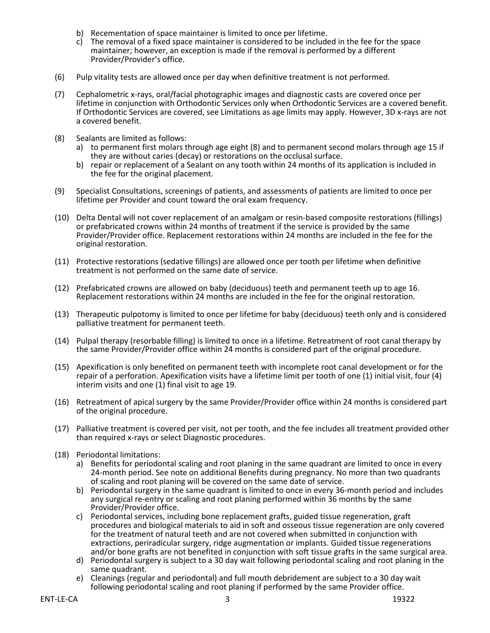- b) Recementation of space maintainer is limited to once per lifetime.
- c) The removal of a fixed space maintainer is considered to be included in the fee for the space maintainer; however, an exception is made if the removal is performed by a different Provider/Provider's office.
- (6) Pulp vitality tests are allowed once per day when definitive treatment is not performed.
- (7) Cephalometric x-rays, oral/facial photographic images and diagnostic casts are covered once per lifetime in conjunction with Orthodontic Services only when Orthodontic Services are a covered benefit. If Orthodontic Services are covered, see Limitations as age limits may apply. However, 3D x-rays are not a covered benefit.
- (8) Sealants are limited as follows:
	- a) to permanent first molars through age eight (8) and to permanent second molars through age 15 if they are without caries (decay) or restorations on the occlusal surface.
	- b) repair or replacement of a Sealant on any tooth within 24 months of its application is included in the fee for the original placement.
- (9) Specialist Consultations, screenings of patients, and assessments of patients are limited to once per lifetime per Provider and count toward the oral exam frequency.
- (10) Delta Dental will not cover replacement of an amalgam or resin-based composite restorations (fillings) or prefabricated crowns within 24 months of treatment if the service is provided by the same Provider/Provider office. Replacement restorations within 24 months are included in the fee for the original restoration.
- (11) Protective restorations (sedative fillings) are allowed once per tooth per lifetime when definitive treatment is not performed on the same date of service.
- (12) Prefabricated crowns are allowed on baby (deciduous) teeth and permanent teeth up to age 16. Replacement restorations within 24 months are included in the fee for the original restoration.
- (13) Therapeutic pulpotomy is limited to once per lifetime for baby (deciduous) teeth only and is considered palliative treatment for permanent teeth.
- (14) Pulpal therapy (resorbable filling) is limited to once in a lifetime. Retreatment of root canal therapy by the same Provider/Provider office within 24 months is considered part of the original procedure.
- (15) Apexification is only benefited on permanent teeth with incomplete root canal development or for the repair of a perforation. Apexification visits have a lifetime limit per tooth of one (1) initial visit, four (4) interim visits and one (1) final visit to age 19.
- (16) Retreatment of apical surgery by the same Provider/Provider office within 24 months is considered part of the original procedure.
- (17) Palliative treatment is covered per visit, not per tooth, and the fee includes all treatment provided other than required x-rays or select Diagnostic procedures.
- (18) Periodontal limitations:
	- a) Benefits for periodontal scaling and root planing in the same quadrant are limited to once in every 24-month period. See note on additional Benefits during pregnancy. No more than two quadrants of scaling and root planing will be covered on the same date of service.
	- b) Periodontal surgery in the same quadrant is limited to once in every 36-month period and includes any surgical re-entry or scaling and root planing performed within 36 months by the same
	- c) Periodontal services, including bone replacement grafts, guided tissue regeneration, graft procedures and biological materials to aid in soft and osseous tissue regeneration are only covered for the treatment of natural teeth and are not covered when submitted in conjunction with extractions, periradicular surgery, ridge augmentation or implants. Guided tissue regenerations and/or bone grafts are not benefited in conjunction with soft tissue grafts in the same surgical area.
	- d) Periodontal surgery is subject to a 30 day wait following periodontal scaling and root planing in the same quadrant.
	- e) Cleanings (regular and periodontal) and full mouth debridement are subject to a 30 day wait following periodontal scaling and root planing if performed by the same Provider office.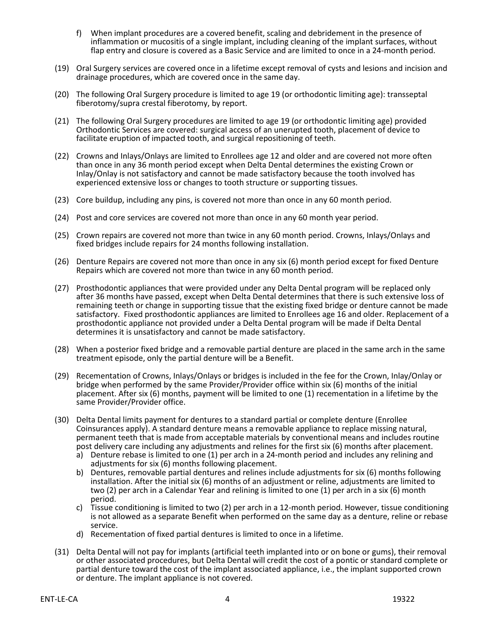- f) When implant procedures are a covered benefit, scaling and debridement in the presence of inflammation or mucositis of a single implant, including cleaning of the implant surfaces, without flap entry and closure is covered as a Basic Service and are limited to once in a 24-month period.
- (19) Oral Surgery services are covered once in a lifetime except removal of cysts and lesions and incision and drainage procedures, which are covered once in the same day.
- (20) The following Oral Surgery procedure is limited to age 19 (or orthodontic limiting age): transseptal fiberotomy/supra crestal fiberotomy, by report.
- (21) The following Oral Surgery procedures are limited to age 19 (or orthodontic limiting age) provided Orthodontic Services are covered: surgical access of an unerupted tooth, placement of device to facilitate eruption of impacted tooth, and surgical repositioning of teeth.
- (22) Crowns and Inlays/Onlays are limited to Enrollees age 12 and older and are covered not more often than once in any 36 month period except when Delta Dental determines the existing Crown or Inlay/Onlay is not satisfactory and cannot be made satisfactory because the tooth involved has experienced extensive loss or changes to tooth structure or supporting tissues.
- (23) Core buildup, including any pins, is covered not more than once in any 60 month period.
- (24) Post and core services are covered not more than once in any 60 month year period.
- (25) Crown repairs are covered not more than twice in any 60 month period. Crowns, Inlays/Onlays and fixed bridges include repairs for 24 months following installation.
- (26) Denture Repairs are covered not more than once in any six (6) month period except for fixed Denture Repairs which are covered not more than twice in any 60 month period.
- (27) Prosthodontic appliances that were provided under any Delta Dental program will be replaced only after 36 months have passed, except when Delta Dental determines that there is such extensive loss of remaining teeth or change in supporting tissue that the existing fixed bridge or denture cannot be made satisfactory. Fixed prosthodontic appliances are limited to Enrollees age 16 and older. Replacement of a prosthodontic appliance not provided under a Delta Dental program will be made if Delta Dental determines it is unsatisfactory and cannot be made satisfactory.
- (28) When a posterior fixed bridge and a removable partial denture are placed in the same arch in the same treatment episode, only the partial denture will be a Benefit.
- (29) Recementation of Crowns, Inlays/Onlays or bridges is included in the fee for the Crown, Inlay/Onlay or bridge when performed by the same Provider/Provider office within six (6) months of the initial placement. After six (6) months, payment will be limited to one (1) recementation in a lifetime by the same Provider/Provider office.
- (30) Delta Dental limits payment for dentures to a standard partial or complete denture (Enrollee Coinsurances apply). A standard denture means a removable appliance to replace missing natural, permanent teeth that is made from acceptable materials by conventional means and includes routine post delivery care including any adjustments and relines for the first six (6) months after placement.
	- a) Denture rebase is limited to one (1) per arch in a 24-month period and includes any relining and adjustments for six (6) months following placement.
	- b) Dentures, removable partial dentures and relines include adjustments for six (6) months following installation. After the initial six (6) months of an adjustment or reline, adjustments are limited to two (2) per arch in a Calendar Year and relining is limited to one (1) per arch in a six (6) month period.
	- c) Tissue conditioning is limited to two (2) per arch in a 12-month period. However, tissue conditioning is not allowed as a separate Benefit when performed on the same day as a denture, reline or rebase service.
	- d) Recementation of fixed partial dentures is limited to once in a lifetime.
- (31) Delta Dental will not pay for implants (artificial teeth implanted into or on bone or gums), their removal or other associated procedures, but Delta Dental will credit the cost of a pontic or standard complete or partial denture toward the cost of the implant associated appliance, i.e., the implant supported crown or denture. The implant appliance is not covered.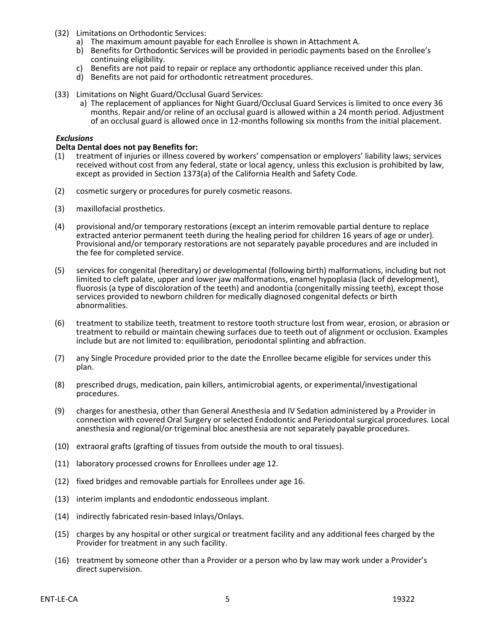- (32) Limitations on Orthodontic Services:
	- a) The maximum amount payable for each Enrollee is shown in Attachment A.
	- b) Benefits for Orthodontic Services will be provided in periodic payments based on the Enrollee's continuing eligibility.
	- c) Benefits are not paid to repair or replace any orthodontic appliance received under this plan.
	- d) Benefits are not paid for orthodontic retreatment procedures.
- (33) Limitations on Night Guard/Occlusal Guard Services:
	- a) The replacement of appliances for Night Guard/Occlusal Guard Services is limited to once every 36 months. Repair and/or reline of an occlusal guard is allowed within a 24 month period. Adjustment of an occlusal guard is allowed once in 12-months following six months from the initial placement.

#### *Exclusions*

#### **Delta Dental does not pay Benefits for:**

- (1) treatment of injuries or illness covered by workers' compensation or employers' liability laws; services received without cost from any federal, state or local agency, unless this exclusion is prohibited by law, except as provided in Section 1373(a) of the California Health and Safety Code.
- (2) cosmetic surgery or procedures for purely cosmetic reasons.
- (3) maxillofacial prosthetics.
- (4) provisional and/or temporary restorations (except an interim removable partial denture to replace extracted anterior permanent teeth during the healing period for children 16 years of age or under). Provisional and/or temporary restorations are not separately payable procedures and are included in the fee for completed service.
- (5) services for congenital (hereditary) or developmental (following birth) malformations, including but not limited to cleft palate, upper and lower jaw malformations, enamel hypoplasia (lack of development), fluorosis (a type of discoloration of the teeth) and anodontia (congenitally missing teeth), except those services provided to newborn children for medically diagnosed congenital defects or birth abnormalities.
- (6) treatment to stabilize teeth, treatment to restore tooth structure lost from wear, erosion, or abrasion or treatment to rebuild or maintain chewing surfaces due to teeth out of alignment or occlusion. Examples include but are not limited to: equilibration, periodontal splinting and abfraction.
- (7) any Single Procedure provided prior to the date the Enrollee became eligible for services under this plan.
- (8) prescribed drugs, medication, pain killers, antimicrobial agents, or experimental/investigational procedures.
- (9) charges for anesthesia, other than General Anesthesia and IV Sedation administered by a Provider in connection with covered Oral Surgery or selected Endodontic and Periodontal surgical procedures. Local anesthesia and regional/or trigeminal bloc anesthesia are not separately payable procedures.
- (10) extraoral grafts (grafting of tissues from outside the mouth to oral tissues).
- (11) laboratory processed crowns for Enrollees under age 12.
- (12) fixed bridges and removable partials for Enrollees under age 16.
- (13) interim implants and endodontic endosseous implant.
- (14) indirectly fabricated resin-based Inlays/Onlays.
- (15) charges by any hospital or other surgical or treatment facility and any additional fees charged by the Provider for treatment in any such facility.
- (16) treatment by someone other than a Provider or a person who by law may work under a Provider's direct supervision.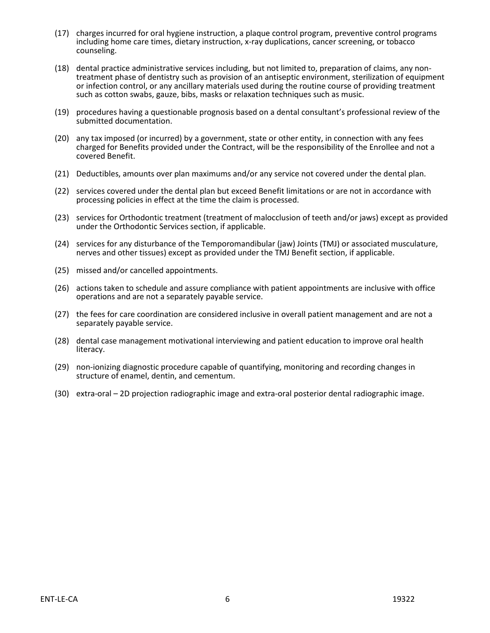- (17) charges incurred for oral hygiene instruction, a plaque control program, preventive control programs including home care times, dietary instruction, x-ray duplications, cancer screening, or tobacco counseling.
- (18) dental practice administrative services including, but not limited to, preparation of claims, any nontreatment phase of dentistry such as provision of an antiseptic environment, sterilization of equipment or infection control, or any ancillary materials used during the routine course of providing treatment such as cotton swabs, gauze, bibs, masks or relaxation techniques such as music.
- (19) procedures having a questionable prognosis based on a dental consultant's professional review of the submitted documentation.
- (20) any tax imposed (or incurred) by a government, state or other entity, in connection with any fees charged for Benefits provided under the Contract, will be the responsibility of the Enrollee and not a covered Benefit.
- (21) Deductibles, amounts over plan maximums and/or any service not covered under the dental plan.
- (22) services covered under the dental plan but exceed Benefit limitations or are not in accordance with processing policies in effect at the time the claim is processed.
- (23) services for Orthodontic treatment (treatment of malocclusion of teeth and/or jaws) except as provided under the Orthodontic Services section, if applicable.
- (24) services for any disturbance of the Temporomandibular (jaw) Joints (TMJ) or associated musculature, nerves and other tissues) except as provided under the TMJ Benefit section, if applicable.
- (25) missed and/or cancelled appointments.
- (26) actions taken to schedule and assure compliance with patient appointments are inclusive with office operations and are not a separately payable service.
- (27) the fees for care coordination are considered inclusive in overall patient management and are not a separately payable service.
- (28) dental case management motivational interviewing and patient education to improve oral health literacy.
- (29) non-ionizing diagnostic procedure capable of quantifying, monitoring and recording changes in structure of enamel, dentin, and cementum.
- (30) extra-oral 2D projection radiographic image and extra-oral posterior dental radiographic image.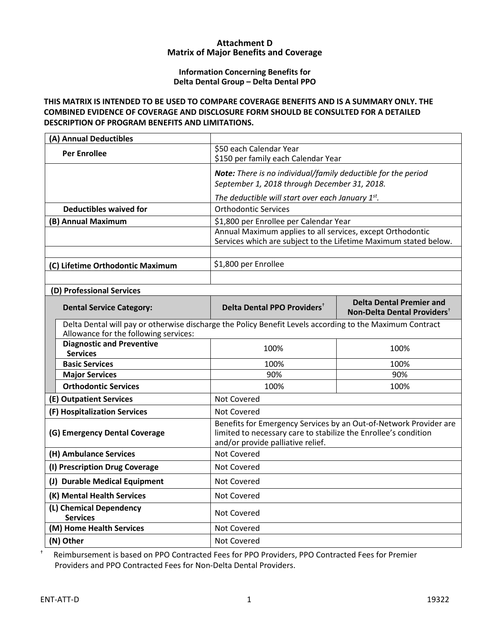#### **Attachment D Matrix of Major Benefits and Coverage**

#### **Information Concerning Benefits for Delta Dental Group – Delta Dental PPO**

## **THIS MATRIX IS INTENDED TO BE USED TO COMPARE COVERAGE BENEFITS AND IS A SUMMARY ONLY. THE COMBINED EVIDENCE OF COVERAGE AND DISCLOSURE FORM SHOULD BE CONSULTED FOR A DETAILED DESCRIPTION OF PROGRAM BENEFITS AND LIMITATIONS.**

| (A) Annual Deductibles                                                                                                                            |                                                                                                                                                                           |                                                                                                                                |  |  |
|---------------------------------------------------------------------------------------------------------------------------------------------------|---------------------------------------------------------------------------------------------------------------------------------------------------------------------------|--------------------------------------------------------------------------------------------------------------------------------|--|--|
| <b>Per Enrollee</b>                                                                                                                               | \$50 each Calendar Year<br>\$150 per family each Calendar Year                                                                                                            |                                                                                                                                |  |  |
|                                                                                                                                                   |                                                                                                                                                                           | Note: There is no individual/family deductible for the period<br>September 1, 2018 through December 31, 2018.                  |  |  |
|                                                                                                                                                   | The deductible will start over each January $1^{st}$ .                                                                                                                    |                                                                                                                                |  |  |
| <b>Deductibles waived for</b>                                                                                                                     | <b>Orthodontic Services</b>                                                                                                                                               |                                                                                                                                |  |  |
| (B) Annual Maximum                                                                                                                                | \$1,800 per Enrollee per Calendar Year                                                                                                                                    |                                                                                                                                |  |  |
|                                                                                                                                                   |                                                                                                                                                                           | Annual Maximum applies to all services, except Orthodontic<br>Services which are subject to the Lifetime Maximum stated below. |  |  |
|                                                                                                                                                   |                                                                                                                                                                           |                                                                                                                                |  |  |
| (C) Lifetime Orthodontic Maximum                                                                                                                  | \$1,800 per Enrollee                                                                                                                                                      |                                                                                                                                |  |  |
|                                                                                                                                                   |                                                                                                                                                                           |                                                                                                                                |  |  |
| (D) Professional Services                                                                                                                         |                                                                                                                                                                           |                                                                                                                                |  |  |
| <b>Dental Service Category:</b>                                                                                                                   | Delta Dental PPO Providers <sup>+</sup>                                                                                                                                   | <b>Delta Dental Premier and</b><br>Non-Delta Dental Providers <sup>+</sup>                                                     |  |  |
| Delta Dental will pay or otherwise discharge the Policy Benefit Levels according to the Maximum Contract<br>Allowance for the following services: |                                                                                                                                                                           |                                                                                                                                |  |  |
| <b>Diagnostic and Preventive</b><br><b>Services</b>                                                                                               | 100%                                                                                                                                                                      | 100%                                                                                                                           |  |  |
| <b>Basic Services</b>                                                                                                                             | 100%                                                                                                                                                                      | 100%                                                                                                                           |  |  |
| <b>Major Services</b>                                                                                                                             | 90%                                                                                                                                                                       | 90%                                                                                                                            |  |  |
| <b>Orthodontic Services</b>                                                                                                                       | 100%                                                                                                                                                                      | 100%                                                                                                                           |  |  |
| (E) Outpatient Services                                                                                                                           | Not Covered                                                                                                                                                               |                                                                                                                                |  |  |
| (F) Hospitalization Services                                                                                                                      | Not Covered                                                                                                                                                               |                                                                                                                                |  |  |
| (G) Emergency Dental Coverage                                                                                                                     | Benefits for Emergency Services by an Out-of-Network Provider are<br>limited to necessary care to stabilize the Enrollee's condition<br>and/or provide palliative relief. |                                                                                                                                |  |  |
| (H) Ambulance Services                                                                                                                            | Not Covered                                                                                                                                                               |                                                                                                                                |  |  |
| (I) Prescription Drug Coverage                                                                                                                    | Not Covered                                                                                                                                                               |                                                                                                                                |  |  |
| (J) Durable Medical Equipment                                                                                                                     | Not Covered                                                                                                                                                               |                                                                                                                                |  |  |
| (K) Mental Health Services                                                                                                                        | Not Covered                                                                                                                                                               |                                                                                                                                |  |  |
| (L) Chemical Dependency<br><b>Services</b>                                                                                                        |                                                                                                                                                                           |                                                                                                                                |  |  |
| (M) Home Health Services                                                                                                                          | Not Covered                                                                                                                                                               |                                                                                                                                |  |  |
| (N) Other                                                                                                                                         | Not Covered                                                                                                                                                               |                                                                                                                                |  |  |

† Reimbursement is based on PPO Contracted Fees for PPO Providers, PPO Contracted Fees for Premier Providers and PPO Contracted Fees for Non-Delta Dental Providers.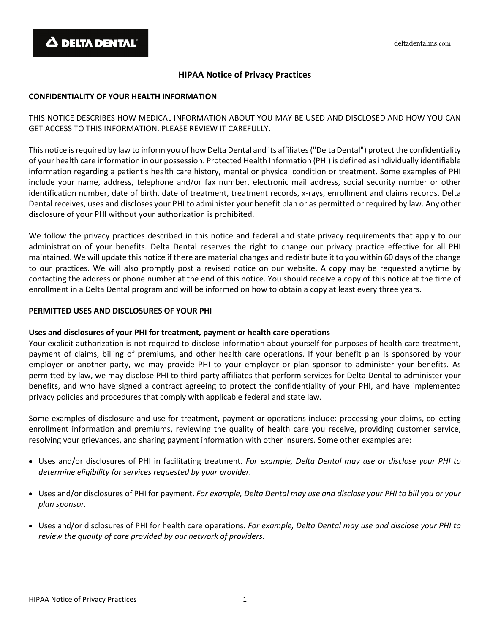# **HIPAA Notice of Privacy Practices**

#### **CONFIDENTIALITY OF YOUR HEALTH INFORMATION**

THIS NOTICE DESCRIBES HOW MEDICAL INFORMATION ABOUT YOU MAY BE USED AND DISCLOSED AND HOW YOU CAN GET ACCESS TO THIS INFORMATION. PLEASE REVIEW IT CAREFULLY.

This notice is required by law to inform you of how Delta Dental and its affiliates ("Delta Dental") protect the confidentiality of your health care information in our possession. Protected Health Information (PHI) is defined as individually identifiable information regarding a patient's health care history, mental or physical condition or treatment. Some examples of PHI include your name, address, telephone and/or fax number, electronic mail address, social security number or other identification number, date of birth, date of treatment, treatment records, x-rays, enrollment and claims records. Delta Dental receives, uses and discloses your PHI to administer your benefit plan or as permitted or required by law. Any other disclosure of your PHI without your authorization is prohibited.

We follow the privacy practices described in this notice and federal and state privacy requirements that apply to our administration of your benefits. Delta Dental reserves the right to change our privacy practice effective for all PHI maintained. We will update this notice if there are material changes and redistribute it to you within 60 days of the change to our practices. We will also promptly post a revised notice on our website. A copy may be requested anytime by contacting the address or phone number at the end of this notice. You should receive a copy of this notice at the time of enrollment in a Delta Dental program and will be informed on how to obtain a copy at least every three years.

#### **PERMITTED USES AND DISCLOSURES OF YOUR PHI**

#### **Uses and disclosures of your PHI for treatment, payment or health care operations**

Your explicit authorization is not required to disclose information about yourself for purposes of health care treatment, payment of claims, billing of premiums, and other health care operations. If your benefit plan is sponsored by your employer or another party, we may provide PHI to your employer or plan sponsor to administer your benefits. As permitted by law, we may disclose PHI to third-party affiliates that perform services for Delta Dental to administer your benefits, and who have signed a contract agreeing to protect the confidentiality of your PHI, and have implemented privacy policies and procedures that comply with applicable federal and state law.

Some examples of disclosure and use for treatment, payment or operations include: processing your claims, collecting enrollment information and premiums, reviewing the quality of health care you receive, providing customer service, resolving your grievances, and sharing payment information with other insurers. Some other examples are:

- Uses and/or disclosures of PHI in facilitating treatment. *For example, Delta Dental may use or disclose your PHI to determine eligibility for services requested by your provider.*
- Uses and/or disclosures of PHI for payment. *For example, Delta Dental may use and disclose your PHI to bill you or your plan sponsor.*
- Uses and/or disclosures of PHI for health care operations. *For example, Delta Dental may use and disclose your PHI to review the quality of care provided by our network of providers.*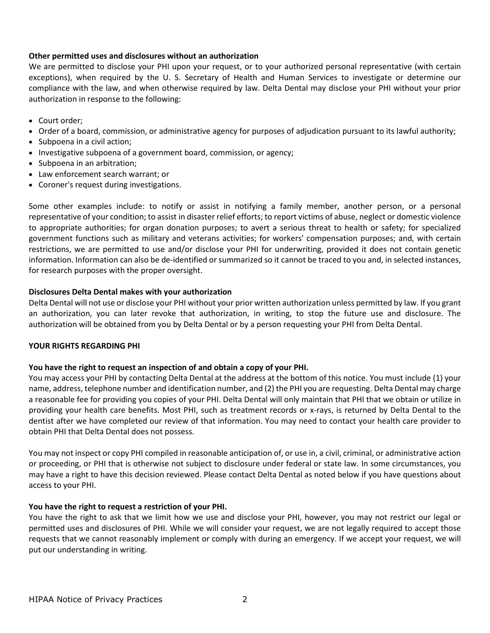#### **Other permitted uses and disclosures without an authorization**

We are permitted to disclose your PHI upon your request, or to your authorized personal representative (with certain exceptions), when required by the U. S. Secretary of Health and Human Services to investigate or determine our compliance with the law, and when otherwise required by law. Delta Dental may disclose your PHI without your prior authorization in response to the following:

- Court order;
- Order of a board, commission, or administrative agency for purposes of adjudication pursuant to its lawful authority;
- Subpoena in a civil action;
- Investigative subpoena of a government board, commission, or agency;
- Subpoena in an arbitration;
- Law enforcement search warrant; or
- Coroner's request during investigations.

Some other examples include: to notify or assist in notifying a family member, another person, or a personal representative of your condition; to assist in disaster relief efforts; to report victims of abuse, neglect or domestic violence to appropriate authorities; for organ donation purposes; to avert a serious threat to health or safety; for specialized government functions such as military and veterans activities; for workers' compensation purposes; and, with certain restrictions, we are permitted to use and/or disclose your PHI for underwriting, provided it does not contain genetic information. Information can also be de-identified or summarized so it cannot be traced to you and, in selected instances, for research purposes with the proper oversight.

#### **Disclosures Delta Dental makes with your authorization**

Delta Dental will not use or disclose your PHI without your prior written authorization unless permitted by law. If you grant an authorization, you can later revoke that authorization, in writing, to stop the future use and disclosure. The authorization will be obtained from you by Delta Dental or by a person requesting your PHI from Delta Dental.

#### **YOUR RIGHTS REGARDING PHI**

#### **You have the right to request an inspection of and obtain a copy of your PHI.**

You may access your PHI by contacting Delta Dental at the address at the bottom of this notice. You must include (1) your name, address, telephone number and identification number, and (2) the PHI you are requesting. Delta Dental may charge a reasonable fee for providing you copies of your PHI. Delta Dental will only maintain that PHI that we obtain or utilize in providing your health care benefits. Most PHI, such as treatment records or x-rays, is returned by Delta Dental to the dentist after we have completed our review of that information. You may need to contact your health care provider to obtain PHI that Delta Dental does not possess.

You may not inspect or copy PHI compiled in reasonable anticipation of, or use in, a civil, criminal, or administrative action or proceeding, or PHI that is otherwise not subject to disclosure under federal or state law. In some circumstances, you may have a right to have this decision reviewed. Please contact Delta Dental as noted below if you have questions about access to your PHI.

#### **You have the right to request a restriction of your PHI.**

You have the right to ask that we limit how we use and disclose your PHI, however, you may not restrict our legal or permitted uses and disclosures of PHI. While we will consider your request, we are not legally required to accept those requests that we cannot reasonably implement or comply with during an emergency. If we accept your request, we will put our understanding in writing.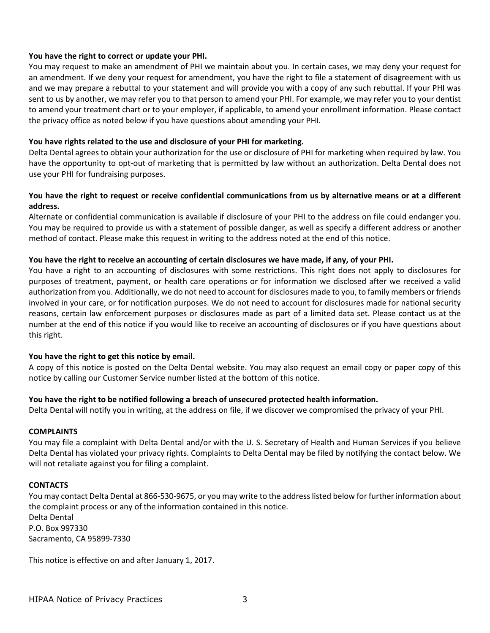#### **You have the right to correct or update your PHI.**

You may request to make an amendment of PHI we maintain about you. In certain cases, we may deny your request for an amendment. If we deny your request for amendment, you have the right to file a statement of disagreement with us and we may prepare a rebuttal to your statement and will provide you with a copy of any such rebuttal. If your PHI was sent to us by another, we may refer you to that person to amend your PHI. For example, we may refer you to your dentist to amend your treatment chart or to your employer, if applicable, to amend your enrollment information. Please contact the privacy office as noted below if you have questions about amending your PHI.

#### **You have rights related to the use and disclosure of your PHI for marketing.**

Delta Dental agrees to obtain your authorization for the use or disclosure of PHI for marketing when required by law. You have the opportunity to opt-out of marketing that is permitted by law without an authorization. Delta Dental does not use your PHI for fundraising purposes.

#### **You have the right to request or receive confidential communications from us by alternative means or at a different address.**

Alternate or confidential communication is available if disclosure of your PHI to the address on file could endanger you. You may be required to provide us with a statement of possible danger, as well as specify a different address or another method of contact. Please make this request in writing to the address noted at the end of this notice.

#### **You have the right to receive an accounting of certain disclosures we have made, if any, of your PHI.**

You have a right to an accounting of disclosures with some restrictions. This right does not apply to disclosures for purposes of treatment, payment, or health care operations or for information we disclosed after we received a valid authorization from you. Additionally, we do not need to account for disclosures made to you, to family members or friends involved in your care, or for notification purposes. We do not need to account for disclosures made for national security reasons, certain law enforcement purposes or disclosures made as part of a limited data set. Please contact us at the number at the end of this notice if you would like to receive an accounting of disclosures or if you have questions about this right.

#### **You have the right to get this notice by email.**

A copy of this notice is posted on the Delta Dental website. You may also request an email copy or paper copy of this notice by calling our Customer Service number listed at the bottom of this notice.

#### **You have the right to be notified following a breach of unsecured protected health information.**

Delta Dental will notify you in writing, at the address on file, if we discover we compromised the privacy of your PHI.

#### **COMPLAINTS**

You may file a complaint with Delta Dental and/or with the U. S. Secretary of Health and Human Services if you believe Delta Dental has violated your privacy rights. Complaints to Delta Dental may be filed by notifying the contact below. We will not retaliate against you for filing a complaint.

#### **CONTACTS**

You may contact Delta Dental at 866-530-9675, or you may write to the address listed below for further information about the complaint process or any of the information contained in this notice. Delta Dental P.O. Box 997330 Sacramento, CA 95899-7330

This notice is effective on and after January 1, 2017.